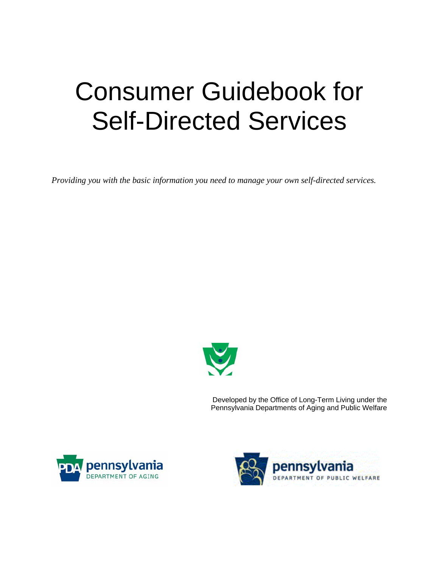# Consumer Guidebook for Self-Directed Services

*Providing you with the basic information you need to manage your own self-directed services.* 



Developed by the Office of Long-Term Living under the Pennsylvania Departments of Aging and Public Welfare



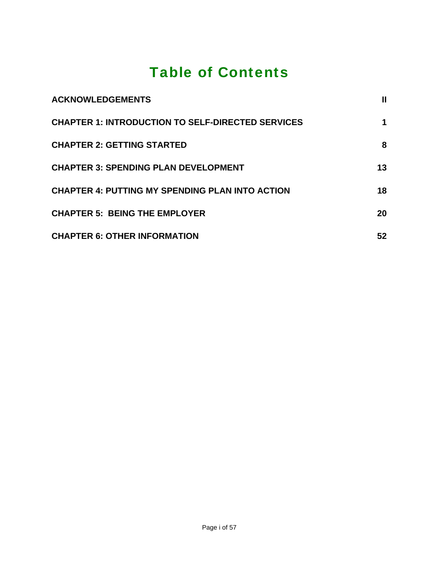## Table of Contents

| <b>ACKNOWLEDGEMENTS</b>                                  | Ш  |
|----------------------------------------------------------|----|
| <b>CHAPTER 1: INTRODUCTION TO SELF-DIRECTED SERVICES</b> |    |
| <b>CHAPTER 2: GETTING STARTED</b>                        | 8  |
| <b>CHAPTER 3: SPENDING PLAN DEVELOPMENT</b>              | 13 |
| <b>CHAPTER 4: PUTTING MY SPENDING PLAN INTO ACTION</b>   | 18 |
| <b>CHAPTER 5: BEING THE EMPLOYER</b>                     | 20 |
| <b>CHAPTER 6: OTHER INFORMATION</b>                      | 52 |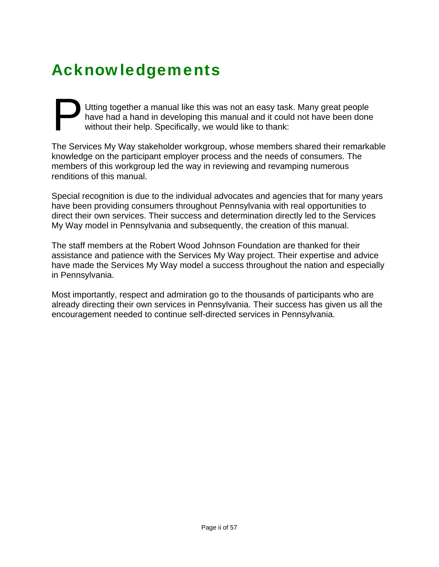# <span id="page-2-0"></span>Acknowledgements

Utting together a manual like this was not an easy task. Many great people have had a hand in developing this manual and it could not have been done without their help. Specifically, we would like to thank: P Utt has

The Services My Way stakeholder workgroup, whose members shared their remarkable knowledge on the participant employer process and the needs of consumers. The members of this workgroup led the way in reviewing and revamping numerous renditions of this manual.

Special recognition is due to the individual advocates and agencies that for many years have been providing consumers throughout Pennsylvania with real opportunities to direct their own services. Their success and determination directly led to the Services My Way model in Pennsylvania and subsequently, the creation of this manual.

The staff members at the Robert Wood Johnson Foundation are thanked for their assistance and patience with the Services My Way project. Their expertise and advice have made the Services My Way model a success throughout the nation and especially in Pennsylvania.

Most importantly, respect and admiration go to the thousands of participants who are already directing their own services in Pennsylvania. Their success has given us all the encouragement needed to continue self-directed services in Pennsylvania.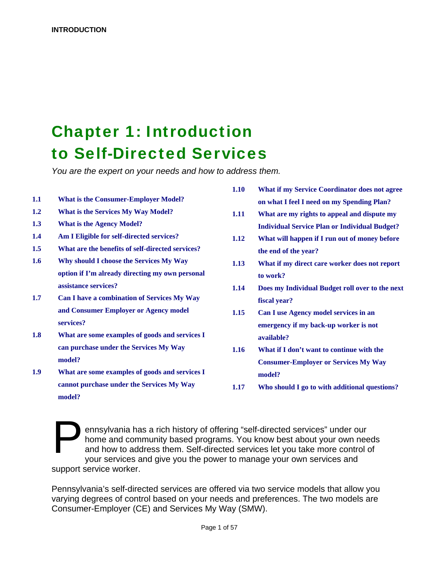## <span id="page-3-0"></span>**Chapter 1: Introduction** to Self-Directed Services

*You are the expert on your needs and how to address them.* 

- 
- 
- 
- 
- **1.5 What are the benefits of self-directed services? the end of the year?**
- 1.6 **Why should I choose the Services My Way** 1.13 **What if my direct care worker does not report option if I'm already directing my own personal to work?**
- **1.7 Can I have a combination of Services My Way fiscal year? and Consumer Employer or Agency model 1.15 Can I use Agency model services in an**
- **1.8 What are some examples of goods and services I available? can purchase under the Services My Way 1.16 What if I don't want to continue with the**
- 1.9 **What are some examples of goods and services I model? cannot purchase under the Services My Way 1.17 Who should I go to with additional questions? model?**
- **1.10 What if my Service Coordinator does not agree 1.1 What is the Consumer-Employer Model? on what I feel I need on my Spending Plan?**
- **1.2 What is the Services My Way Model? 1.11 What are my rights to appeal and dispute my 1.3 What is the Agency Model? Individual Service Plan or Individual Budget?**
- **1.4 Am I Eligible for self-directed services? 1.12 What will happen if I run out of money before** 
	-
	- **assistance services? 1.14 Does my Individual Budget roll over to the next**
	- **services? emergency if my back-up worker is not**
	- **model? Consumer-Employer or Services My Way** 
		-

ennsylvania has a rich history of offering "self-directed services" under our home and community based programs. You know best about your own needs and how to address them. Self-directed services let you take more control of your services and give you the power to manage your own services and support service worker.  $\sum_{\substack{\text{hon} \\ \text{and} \\ \text{vol}}}$ 

Pennsylvania's self-directed services are offered via two service models that allow you varying degrees of control based on your needs and preferences. The two models are Consumer-Employer (CE) and Services My Way (SMW).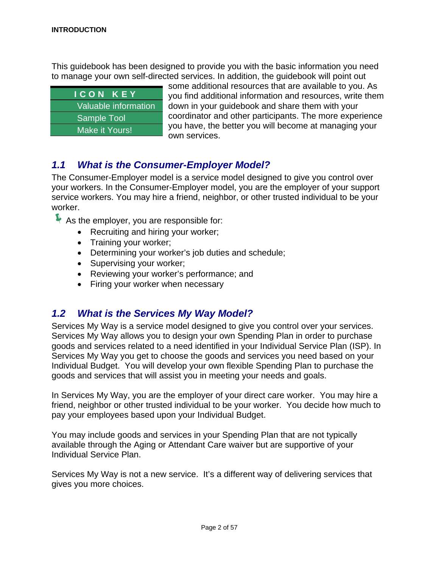This guidebook has been designed to provide you with the basic information you need to manage your own self-directed services. In addition, the guidebook will point out

| <b>ICON KEY</b>      |
|----------------------|
| Valuable information |
| <b>Sample Tool</b>   |
| Make it Yours!       |

some additional resources that are available to you. As you find additional information and resources, write them down in your guidebook and share them with your coordinator and other participants. The more experience you have, the better you will become at managing your own services.

#### *1.1 What is the Consumer-Employer Model?*

The Consumer-Employer model is a service model designed to give you control over your workers. In the Consumer-Employer model, you are the employer of your support service workers. You may hire a friend, neighbor, or other trusted individual to be your worker.

 $\blacktriangleright$  As the employer, you are responsible for:

- Recruiting and hiring your worker;
- Training your worker;
- Determining your worker's job duties and schedule;
- Supervising your worker;
- Reviewing your worker's performance; and
- Firing your worker when necessary

#### *1.2 What is the Services My Way Model?*

Services My Way is a service model designed to give you control over your services. Services My Way allows you to design your own Spending Plan in order to purchase goods and services related to a need identified in your Individual Service Plan (ISP). In Services My Way you get to choose the goods and services you need based on your Individual Budget. You will develop your own flexible Spending Plan to purchase the goods and services that will assist you in meeting your needs and goals.

In Services My Way, you are the employer of your direct care worker. You may hire a friend, neighbor or other trusted individual to be your worker. You decide how much to pay your employees based upon your Individual Budget.

You may include goods and services in your Spending Plan that are not typically available through the Aging or Attendant Care waiver but are supportive of your Individual Service Plan.

Services My Way is not a new service. It's a different way of delivering services that gives you more choices.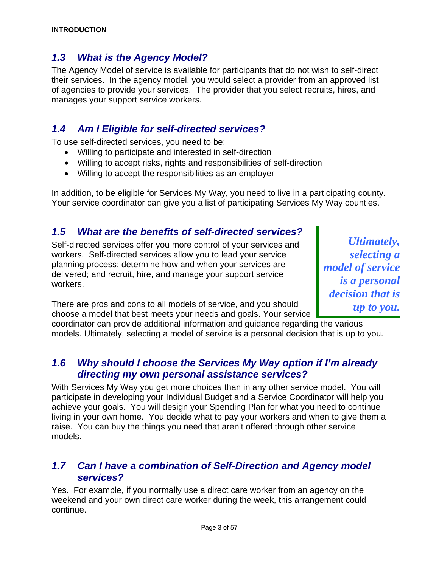#### *1.3 What is the Agency Model?*

The Agency Model of service is available for participants that do not wish to self-direct their services. In the agency model, you would select a provider from an approved list of agencies to provide your services. The provider that you select recruits, hires, and manages your support service workers.

#### *1.4 Am I Eligible for self-directed services?*

To use self-directed services, you need to be:

- Willing to participate and interested in self-direction
- Willing to accept risks, rights and responsibilities of self-direction
- Willing to accept the responsibilities as an employer

In addition, to be eligible for Services My Way, you need to live in a participating county. Your service coordinator can give you a list of participating Services My Way counties.

#### *1.5 What are the benefits of self-directed services?*

Self-directed services offer you more control of your services and *Ultimately,*<br>workers. Self-directed services allow you to lead your service *selecting a* workers. Self-directed services allow you to lead your service planning process; determine how and when your services are planning process; determine how and when your services are *model of service* delivered; and recruit, hire, and manage your support service workers. *is a personal* 

There are pros and cons to all models of service, and you should **up to you.**<br>
choose a model that best meets your needs and goals. Your service

*decision that is* 

coordinator can provide additional information and guidance regarding the various models. Ultimately, selecting a model of service is a personal decision that is up to you.

#### *1.6 Why should I choose the Services My Way option if I'm already directing my own personal assistance services?*

With Services My Way you get more choices than in any other service model. You will participate in developing your Individual Budget and a Service Coordinator will help you achieve your goals. You will design your Spending Plan for what you need to continue living in your own home. You decide what to pay your workers and when to give them a raise. You can buy the things you need that aren't offered through other service models.

#### *1.7 Can I have a combination of Self-Direction and Agency model services?*

Yes. For example, if you normally use a direct care worker from an agency on the weekend and your own direct care worker during the week, this arrangement could continue.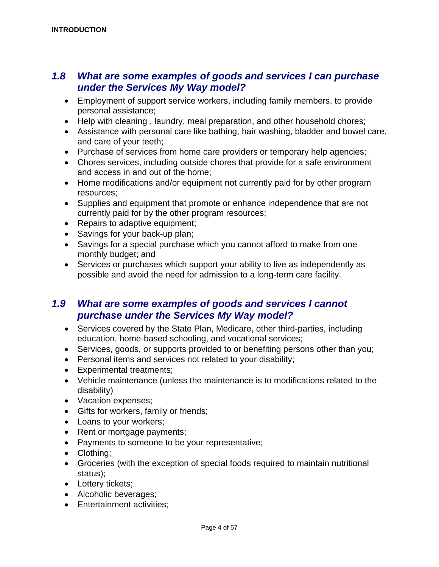#### *1.8 What are some examples of goods and services I can purchase under the Services My Way model?*

- Employment of support service workers, including family members, to provide personal assistance;
- Help with cleaning , laundry, meal preparation, and other household chores;
- Assistance with personal care like bathing, hair washing, bladder and bowel care, and care of your teeth;
- Purchase of services from home care providers or temporary help agencies;
- Chores services, including outside chores that provide for a safe environment and access in and out of the home;
- Home modifications and/or equipment not currently paid for by other program resources;
- Supplies and equipment that promote or enhance independence that are not currently paid for by the other program resources;
- Repairs to adaptive equipment;
- Savings for your back-up plan;
- Savings for a special purchase which you cannot afford to make from one monthly budget; and
- Services or purchases which support your ability to live as independently as possible and avoid the need for admission to a long-term care facility.

#### *1.9 What are some examples of goods and services I cannot purchase under the Services My Way model?*

- Services covered by the State Plan, Medicare, other third-parties, including education, home-based schooling, and vocational services;
- Services, goods, or supports provided to or benefiting persons other than you;
- Personal items and services not related to your disability;
- Experimental treatments;
- Vehicle maintenance (unless the maintenance is to modifications related to the disability)
- Vacation expenses;
- Gifts for workers, family or friends;
- Loans to your workers;
- Rent or mortgage payments;
- Payments to someone to be your representative;
- Clothing;
- Groceries (with the exception of special foods required to maintain nutritional status);
- Lottery tickets;
- Alcoholic beverages;
- Entertainment activities;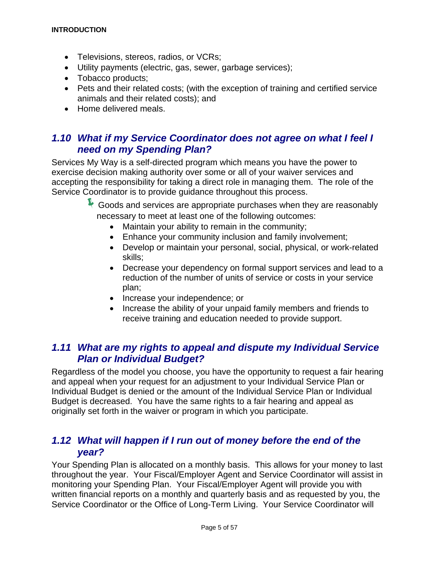- Televisions, stereos, radios, or VCRs;
- Utility payments (electric, gas, sewer, garbage services);
- Tobacco products;
- Pets and their related costs; (with the exception of training and certified service animals and their related costs); and
- Home delivered meals.

#### *1.10 What if my Service Coordinator does not agree on what I feel I need on my Spending Plan?*

Services My Way is a self-directed program which means you have the power to exercise decision making authority over some or all of your waiver services and accepting the responsibility for taking a direct role in managing them. The role of the Service Coordinator is to provide guidance throughout this process.

> Goods and services are appropriate purchases when they are reasonably necessary to meet at least one of the following outcomes:

- Maintain your ability to remain in the community;
- Enhance your community inclusion and family involvement;
- Develop or maintain your personal, social, physical, or work-related skills;
- Decrease your dependency on formal support services and lead to a reduction of the number of units of service or costs in your service plan;
- Increase your independence; or
- Increase the ability of your unpaid family members and friends to receive training and education needed to provide support.

#### *1.11 What are my rights to appeal and dispute my Individual Service Plan or Individual Budget?*

Regardless of the model you choose, you have the opportunity to request a fair hearing and appeal when your request for an adjustment to your Individual Service Plan or Individual Budget is denied or the amount of the Individual Service Plan or Individual Budget is decreased. You have the same rights to a fair hearing and appeal as originally set forth in the waiver or program in which you participate.

#### *1.12 What will happen if I run out of money before the end of the year?*

Your Spending Plan is allocated on a monthly basis. This allows for your money to last throughout the year. Your Fiscal/Employer Agent and Service Coordinator will assist in monitoring your Spending Plan. Your Fiscal/Employer Agent will provide you with written financial reports on a monthly and quarterly basis and as requested by you, the Service Coordinator or the Office of Long-Term Living. Your Service Coordinator will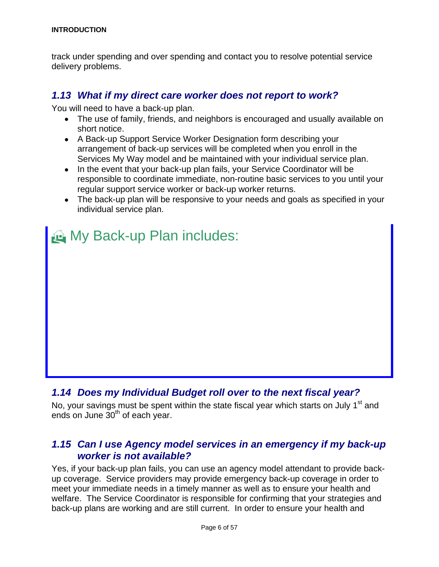track under spending and over spending and contact you to resolve potential service delivery problems.

#### *1.13 What if my direct care worker does not report to work?*

You will need to have a back-up plan.

- The use of family, friends, and neighbors is encouraged and usually available on short notice.
- A Back-up Support Service Worker Designation form describing your arrangement of back-up services will be completed when you enroll in the Services My Way model and be maintained with your individual service plan.
- In the event that your back-up plan fails, your Service Coordinator will be responsible to coordinate immediate, non-routine basic services to you until your regular support service worker or back-up worker returns.
- The back-up plan will be responsive to your needs and goals as specified in your individual service plan.



### *1.14 Does my Individual Budget roll over to the next fiscal year?*

No, your savings must be spent within the state fiscal year which starts on July 1<sup>st</sup> and ends on June  $30<sup>th</sup>$  of each year.

#### *1.15 Can I use Agency model services in an emergency if my back-up worker is not available?*

Yes, if your back-up plan fails, you can use an agency model attendant to provide backup coverage. Service providers may provide emergency back-up coverage in order to meet your immediate needs in a timely manner as well as to ensure your health and welfare. The Service Coordinator is responsible for confirming that your strategies and back-up plans are working and are still current. In order to ensure your health and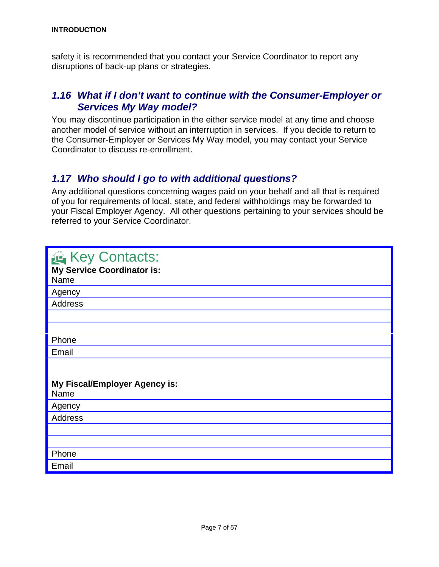safety it is recommended that you contact your Service Coordinator to report any disruptions of back-up plans or strategies.

#### *1.16 What if I don't want to continue with the Consumer-Employer or Services My Way model?*

You may discontinue participation in the either service model at any time and choose another model of service without an interruption in services. If you decide to return to the Consumer-Employer or Services My Way model, you may contact your Service Coordinator to discuss re-enrollment.

#### *1.17 Who should I go to with additional questions?*

Any additional questions concerning wages paid on your behalf and all that is required of you for requirements of local, state, and federal withholdings may be forwarded to your Fiscal Employer Agency. All other questions pertaining to your services should be referred to your Service Coordinator.

| Key Contacts:<br><b>My Service Coordinator is:</b><br>Name |
|------------------------------------------------------------|
| Agency                                                     |
| <b>Address</b>                                             |
|                                                            |
|                                                            |
| Phone                                                      |
| Email                                                      |
| My Fiscal/Employer Agency is:<br>Name                      |
| Agency                                                     |
| <b>Address</b>                                             |
|                                                            |
|                                                            |
| Phone                                                      |
| Email                                                      |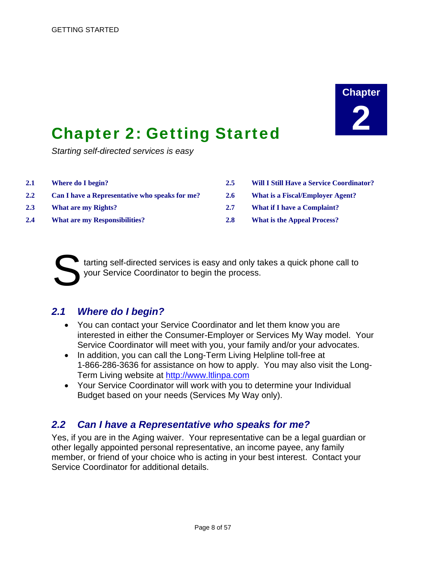# **Chapter**

## <span id="page-10-0"></span>**Chapter 2: Getting Started**

*Starting self-directed services is easy* 

- 
- **2.2 Can I have a Representative who speaks for me? 2.6 What is a Fiscal/Employer Agent?**
- 
- **2.4 What are my Responsibilities? 2.8 What is the Appeal Process?**
- **2.1 Where do I begin? 2.5 Will I Still Have a Service Coordinator?**
	-
- **2.3 What are my Rights? 2.7 What if I have a Complaint?**
	-

tarting self-directed services is easy and only takes a quick phone call to tarting self-directed services is easy and only tayour Service Coordinator to begin the process.

#### *2.1 Where do I begin?*

- You can contact your Service Coordinator and let them know you are interested in either the Consumer-Employer or Services My Way model. Your Service Coordinator will meet with you, your family and/or your advocates.
- In addition, you can call the Long-Term Living Helpline toll-free at 1-866-286-3636 for assistance on how to apply. You may also visit the Long-Term Living website at [http://www.ltlinpa.com](http://www.ltlinpa.com/)
- Your Service Coordinator will work with you to determine your Individual Budget based on your needs (Services My Way only).

#### *2.2 Can I have a Representative who speaks for me?*

Yes, if you are in the Aging waiver. Your representative can be a legal guardian or other legally appointed personal representative, an income payee, any family member, or friend of your choice who is acting in your best interest. Contact your Service Coordinator for additional details.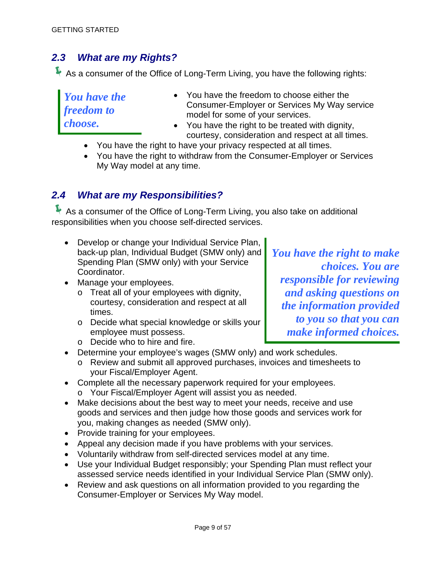#### *2.3 What are my Rights?*

As a consumer of the Office of Long-Term Living, you have the following rights:

*You have the* • You have the freedom to choose either the *freedom to* Consumer-Employer or Services My Way service model for some of your services. *choose.* • You have the right to be treated with dignity, courtesy, consideration and respect at all times.

- You have the right to have your privacy respected at all times.
- You have the right to withdraw from the Consumer-Employer or Services My Way model at any time.

#### *2.4 What are my Responsibilities?*

As a consumer of the Office of Long-Term Living, you also take on additional responsibilities when you choose self-directed services.

- Develop or change your Individual Service Plan, back-up plan, Individual Budget (SMW only) and *You have the right to make* Spending Plan (SMW only) with your Service *choices. You are* Coordinator.
- - o Treat all of your employees with dignity, courtesy, consideration and respect at all
	- o Decide what special knowledge or skills your employee must possess. **and informed choices. make informed choices.**

• Manage your employees.<br>
o Treat all of your employees with dignity, and asking questions on courtesy, consideration and respect at all *the information provided*<br>times.<br>Decide what special knowledge or skills your **to you so that you can** 

- o Decide who to hire and fire.
- Determine your employee's wages (SMW only) and work schedules.
	- o Review and submit all approved purchases, invoices and timesheets to your Fiscal/Employer Agent.
- Complete all the necessary paperwork required for your employees.
	- o Your Fiscal/Employer Agent will assist you as needed.
- Make decisions about the best way to meet your needs, receive and use goods and services and then judge how those goods and services work for you, making changes as needed (SMW only).
- Provide training for your employees.
- Appeal any decision made if you have problems with your services.
- Voluntarily withdraw from self-directed services model at any time.
- Use your Individual Budget responsibly; your Spending Plan must reflect your assessed service needs identified in your Individual Service Plan (SMW only).
- Review and ask questions on all information provided to you regarding the Consumer-Employer or Services My Way model.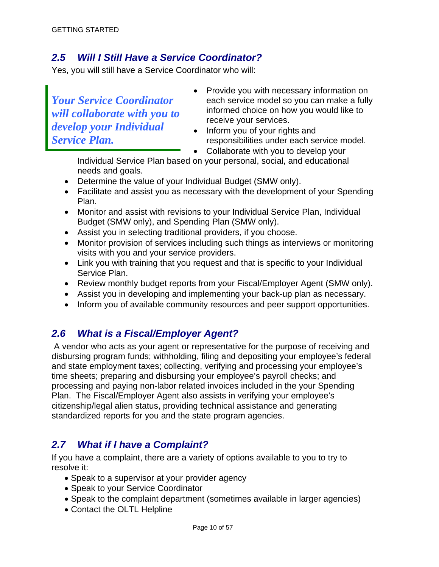#### *2.5 Will I Still Have a Service Coordinator?*

Yes, you will still have a Service Coordinator who will:

*will collaborate with you to* informed choice on how your services. *develop your Individual* <br>*Service Plan. develop your Individual* **•** Inform you of your rights and responsibilities under each see

- Provide you with necessary information on *Your Service Coordinator* each service model so you can make a fully<br>will collaborate with you to informed choice on how you would like to
	- responsibilities under each service model.

• Collaborate with you to develop your

Individual Service Plan based on your personal, social, and educational needs and goals.

- Determine the value of your Individual Budget (SMW only).
- Facilitate and assist you as necessary with the development of your Spending Plan.
- Monitor and assist with revisions to your Individual Service Plan, Individual Budget (SMW only), and Spending Plan (SMW only).
- Assist you in selecting traditional providers, if you choose.
- Monitor provision of services including such things as interviews or monitoring visits with you and your service providers.
- Link you with training that you request and that is specific to your Individual Service Plan.
- Review monthly budget reports from your Fiscal/Employer Agent (SMW only).
- Assist you in developing and implementing your back-up plan as necessary.
- Inform you of available community resources and peer support opportunities.

### *2.6 What is a Fiscal/Employer Agent?*

 A vendor who acts as your agent or representative for the purpose of receiving and disbursing program funds; withholding, filing and depositing your employee's federal and state employment taxes; collecting, verifying and processing your employee's time sheets; preparing and disbursing your employee's payroll checks; and processing and paying non-labor related invoices included in the your Spending Plan. The Fiscal/Employer Agent also assists in verifying your employee's citizenship/legal alien status, providing technical assistance and generating standardized reports for you and the state program agencies.

#### *2.7 What if I have a Complaint?*

If you have a complaint, there are a variety of options available to you to try to resolve it:

- Speak to a supervisor at your provider agency
- Speak to your Service Coordinator
- Speak to the complaint department (sometimes available in larger agencies)
- Contact the OLTL Helpline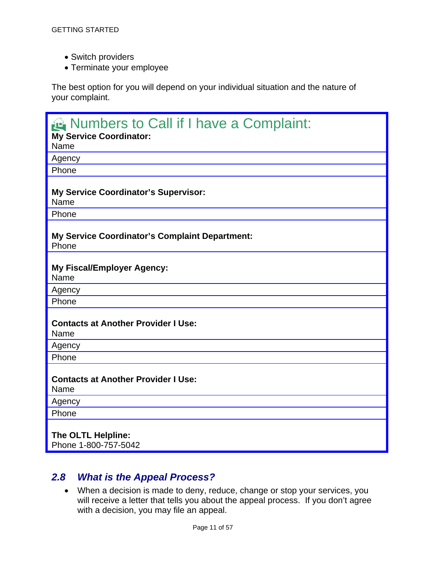- Switch providers
- Terminate your employee

The best option for you will depend on your individual situation and the nature of your complaint.

| Numbers to Call if I have a Complaint:<br><b>My Service Coordinator:</b><br>Name |
|----------------------------------------------------------------------------------|
| Agency                                                                           |
| Phone                                                                            |
| My Service Coordinator's Supervisor:<br>Name                                     |
| Phone                                                                            |
| <b>My Service Coordinator's Complaint Department:</b><br>Phone                   |
| <b>My Fiscal/Employer Agency:</b><br>Name                                        |
| Agency                                                                           |
| Phone                                                                            |
| <b>Contacts at Another Provider I Use:</b><br>Name                               |
| Agency                                                                           |
| Phone                                                                            |
| <b>Contacts at Another Provider I Use:</b><br>Name                               |
| Agency                                                                           |
| Phone                                                                            |
| The OLTL Helpline:<br>Phone 1-800-757-5042                                       |

#### *2.8 What is the Appeal Process?*

• When a decision is made to deny, reduce, change or stop your services, you will receive a letter that tells you about the appeal process. If you don't agree with a decision, you may file an appeal.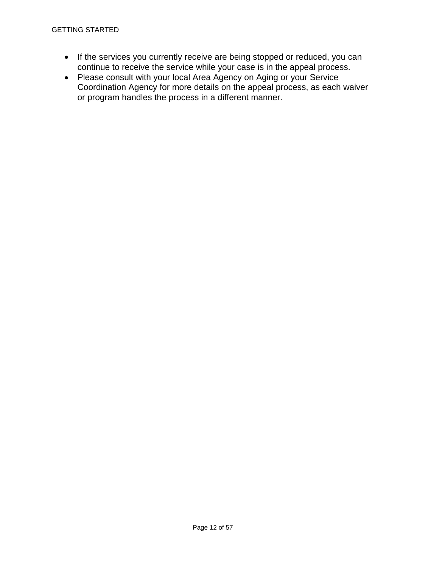#### GETTING STARTED

- If the services you currently receive are being stopped or reduced, you can continue to receive the service while your case is in the appeal process.
- Please consult with your local Area Agency on Aging or your Service Coordination Agency for more details on the appeal process, as each waiver or program handles the process in a different manner.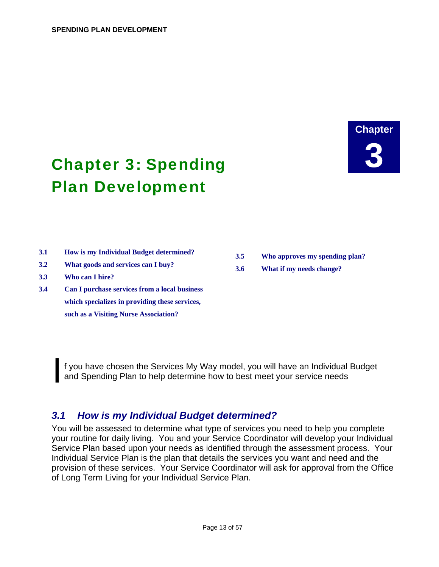# **Chapter**

## <span id="page-15-0"></span>**Chapter 3: Spending** Plan Development

- **3.1 How is my Individual Budget determined? 3.5 Who approves my spending plan?**
- 
- **3.3 Who can I hire?**
- **3.4 Can I purchase services from a local business which specializes in providing these services, such as a Visiting Nurse Association?**
- **3.2 What goods and services can I buy? 3.6 What if my needs change?**

I f you have chosen the Services My Way model, you will have an Individual Budget and Spending Plan to help determine how to best meet your service needs and Spending Plan to help determine how to best meet your service needs

#### *3.1 How is my Individual Budget determined?*

You will be assessed to determine what type of services you need to help you complete your routine for daily living. You and your Service Coordinator will develop your Individual Service Plan based upon your needs as identified through the assessment process. Your Individual Service Plan is the plan that details the services you want and need and the provision of these services. Your Service Coordinator will ask for approval from the Office of Long Term Living for your Individual Service Plan.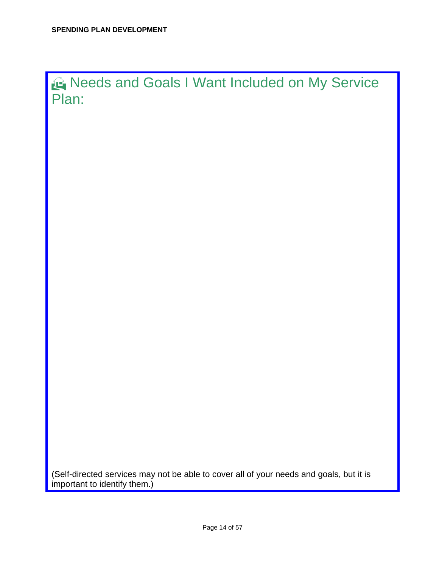Needs and Goals I Want Included on My Service Plan:

(Self-directed services may not be able to cover all of your needs and goals, but it is important to identify them.)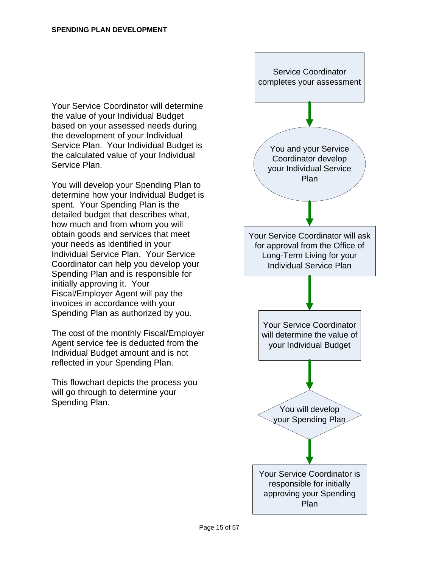Your Service Coordinator will determine the value of your Individual Budget based on your assessed needs during the development of your Individual Service Plan. Your Individual Budget is the calculated value of your Individual Service Plan.

You will develop your Spending Plan to determine how your Individual Budget is spent. Your Spending Plan is the detailed budget that describes what, how much and from whom you will obtain goods and services that meet your needs as identified in your Individual Service Plan. Your Service Coordinator can help you develop your Spending Plan and is responsible for initially approving it. Your Fiscal/Employer Agent will pay the invoices in accordance with your Spending Plan as authorized by you.

The cost of the monthly Fiscal/Employer Agent service fee is deducted from the Individual Budget amount and is not reflected in your Spending Plan.

This flowchart depicts the process you will go through to determine your Spending Plan.

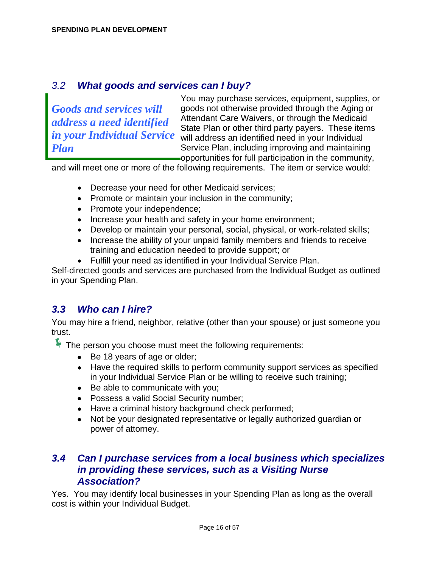#### *3.2 What goods and services can I buy?*

You may purchase services, equipment, supplies, or *Goods and services will* goods not otherwise provided through the Aging or *address a need identified* Attendant Care Waivers, or through the Medicaid<br>State Plan or other third party payers. These items in your Individual Service will address an identified need in your Individual *Plan* Service Plan, including improving and maintaining opportunities for full participation in the community,

and will meet one or more of the following requirements. The item or service would:

- Decrease your need for other Medicaid services;
- Promote or maintain your inclusion in the community;
- Promote your independence;
- Increase your health and safety in your home environment;
- Develop or maintain your personal, social, physical, or work-related skills;
- Increase the ability of your unpaid family members and friends to receive training and education needed to provide support; or
- Fulfill your need as identified in your Individual Service Plan.

Self-directed goods and services are purchased from the Individual Budget as outlined in your Spending Plan.

### *3.3 Who can I hire?*

You may hire a friend, neighbor, relative (other than your spouse) or just someone you trust.

 $\blacktriangleright$  The person you choose must meet the following requirements:

- Be 18 years of age or older;
- Have the required skills to perform community support services as specified in your Individual Service Plan or be willing to receive such training;
- Be able to communicate with you;
- Possess a valid Social Security number;
- Have a criminal history background check performed;
- Not be your designated representative or legally authorized guardian or power of attorney.

#### *3.4 Can I purchase services from a local business which specializes in providing these services, such as a Visiting Nurse Association?*

Yes. You may identify local businesses in your Spending Plan as long as the overall cost is within your Individual Budget.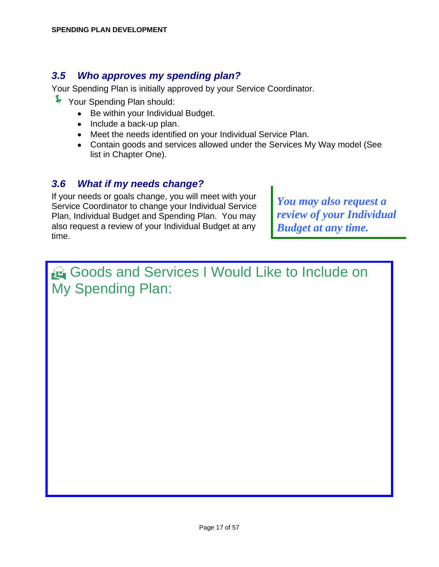#### *3.5 Who approves my spending plan?*

Your Spending Plan is initially approved by your Service Coordinator.

- Í Your Spending Plan should:
	- Be within your Individual Budget.
	- Include a back-up plan.
	- Meet the needs identified on your Individual Service Plan.
	- Contain goods and services allowed under the Services My Way model (See list in Chapter One).

#### *3.6 What if my needs change?*

If your needs or goals change, you will meet with your If your needs or goals change, you will meet with your<br>Service Coordinator to change your Individual Service *You may also request a*<br>Plan, Individual Budget and Spending Plan. You may *review of your Individual* Plan, Individual Budget and Spending Plan. You may also request a review of your Individual Budget at any *Budget at any time.* time.

## Goods and Services I Would Like to Include on My Spending Plan: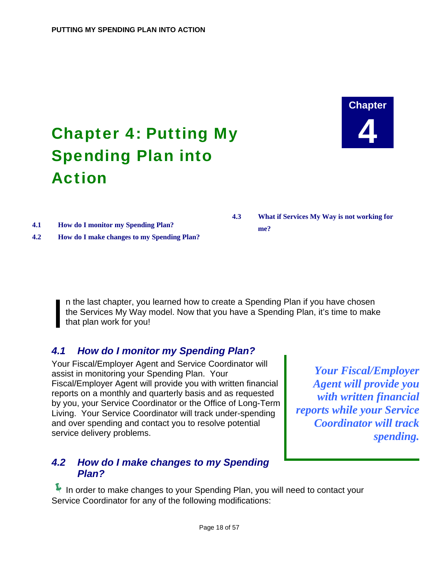# **Chapter 4**

# <span id="page-20-0"></span>Chapter 4: Putting My Spending Plan into Action

**4.1 How do I monitor my Spending Plan? me? 4.2 How do I make changes to my Spending Plan?** 

**4.3 What if Services My Way is not working for** 

I is the last chapter, you learned how to create a Spending Plan if you have chosen the Services My Way model. Now that you have a Spending Plan, it's time to make that plan work for you! the Services My Way model. Now that you have a Spending Plan, it's time to make that plan work for you!

### *4.1 How do I monitor my Spending Plan?*

Your Fiscal/Employer Agent and Service Coordinator will Four Fiscal/Employer Agent and Scribe Socialitator will<br>assist in monitoring your Spending Plan. Your *Your Fiscal/Employer*<br>Fiscal/Employer Agent will provide you with written financial *Agent will provide you* Fiscal/Employer Agent will provide you with written financial reports on a monthly and quarterly basis and as requested reports on a monthly and quarterly basis and as requested<br>by you, your Service Coordinator or the Office of Long-Term<br>Living Pour Service Coordinator will track under-spending *reports while your Service* Living. Your Service Coordinator will track under-spending *reports while your Service*  and over spending and contact you to resolve potential service delivery problems. **spending. spending. spending.** 

#### *4.2 How do I make changes to my Spending Plan?*

In order to make changes to your Spending Plan, you will need to contact your Service Coordinator for any of the following modifications: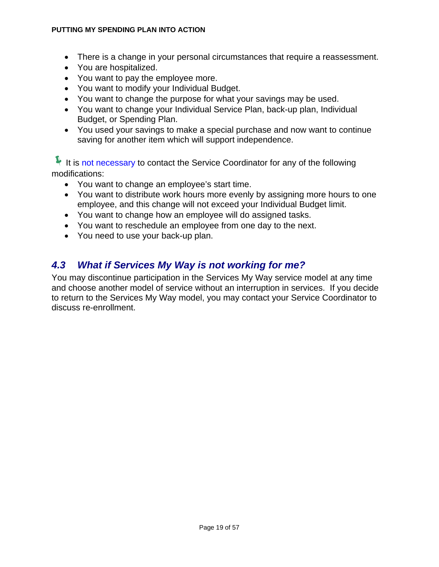#### **PUTTING MY SPENDING PLAN INTO ACTION**

- There is a change in your personal circumstances that require a reassessment.
- You are hospitalized.
- You want to pay the employee more.
- You want to modify your Individual Budget.
- You want to change the purpose for what your savings may be used.
- You want to change your Individual Service Plan, back-up plan, Individual Budget, or Spending Plan.
- You used your savings to make a special purchase and now want to continue saving for another item which will support independence.

 $\blacktriangleright$  It is not necessary to contact the Service Coordinator for any of the following modifications:

- You want to change an employee's start time.
- You want to distribute work hours more evenly by assigning more hours to one employee, and this change will not exceed your Individual Budget limit.
- You want to change how an employee will do assigned tasks.
- You want to reschedule an employee from one day to the next.
- You need to use your back-up plan.

#### *4.3 What if Services My Way is not working for me?*

You may discontinue participation in the Services My Way service model at any time and choose another model of service without an interruption in services. If you decide to return to the Services My Way model, you may contact your Service Coordinator to discuss re-enrollment.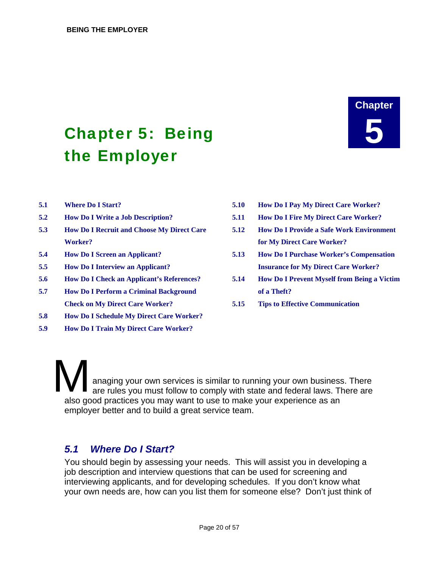# <span id="page-22-0"></span>**Chapter 5: Being** the Employer

# **Chapter**

- 
- 
- **5.3 How Do I Recruit and Choose My Direct Care Worker?**
- 
- 
- 
- **5.7 How Do I Perform a Criminal Background of a Theft? Check on My Direct Care Worker? 5.15 Tips to Effective Communication**
- **5.8 How Do I Schedule My Direct Care Worker?**
- **5.9 How Do I Train My Direct Care Worker?**
- **5.1 Where Do I Start? 5.10 How Do I Pay My Direct Care Worker?**
- **5.2 How Do I Write a Job Description? 5.11 How Do I Fire My Direct Care Worker?**
	- **5.12 How Do I Provide a Safe Work Environment for My Direct Care Worker?**
- **5.4 How Do I Screen an Applicant? 5.13 How Do I Purchase Worker's Compensation 5.5 How Do I Interview an Applicant? Insurance for My Direct Care Worker?**
- **5.6 How Do I Check an Applicant's References? 5.14 How Do I Prevent Myself from Being a Victim** 
	-

anaging your own services is similar to running your own business. There are rules you must follow to comply with state and federal laws. There are also good practices you may want to use to make your experience as an employer better and to build a great service team.  $\prod_{\substack{\text{and} \\ \text{also good}}}$ 

#### *5.1 Where Do I Start?*

You should begin by assessing your needs. This will assist you in developing a job description and interview questions that can be used for screening and interviewing applicants, and for developing schedules. If you don't know what your own needs are, how can you list them for someone else? Don't just think of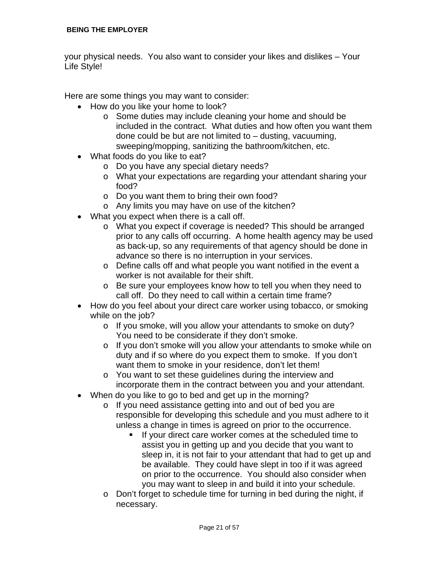your physical needs. You also want to consider your likes and dislikes – Your Life Style!

Here are some things you may want to consider:

- How do you like your home to look?
	- o Some duties may include cleaning your home and should be included in the contract. What duties and how often you want them done could be but are not limited to – dusting, vacuuming, sweeping/mopping, sanitizing the bathroom/kitchen, etc.
- What foods do you like to eat?
	- o Do you have any special dietary needs?
	- o What your expectations are regarding your attendant sharing your food?
	- o Do you want them to bring their own food?
	- o Any limits you may have on use of the kitchen?
- What you expect when there is a call off.
	- o What you expect if coverage is needed? This should be arranged prior to any calls off occurring. A home health agency may be used as back-up, so any requirements of that agency should be done in advance so there is no interruption in your services.
	- o Define calls off and what people you want notified in the event a worker is not available for their shift.
	- o Be sure your employees know how to tell you when they need to call off. Do they need to call within a certain time frame?
- How do you feel about your direct care worker using tobacco, or smoking while on the job?
	- o If you smoke, will you allow your attendants to smoke on duty? You need to be considerate if they don't smoke.
	- o If you don't smoke will you allow your attendants to smoke while on duty and if so where do you expect them to smoke. If you don't want them to smoke in your residence, don't let them!
	- o You want to set these guidelines during the interview and incorporate them in the contract between you and your attendant.
- When do you like to go to bed and get up in the morning?
	- o If you need assistance getting into and out of bed you are responsible for developing this schedule and you must adhere to it unless a change in times is agreed on prior to the occurrence.
		- If your direct care worker comes at the scheduled time to assist you in getting up and you decide that you want to sleep in, it is not fair to your attendant that had to get up and be available. They could have slept in too if it was agreed on prior to the occurrence. You should also consider when you may want to sleep in and build it into your schedule.
	- o Don't forget to schedule time for turning in bed during the night, if necessary.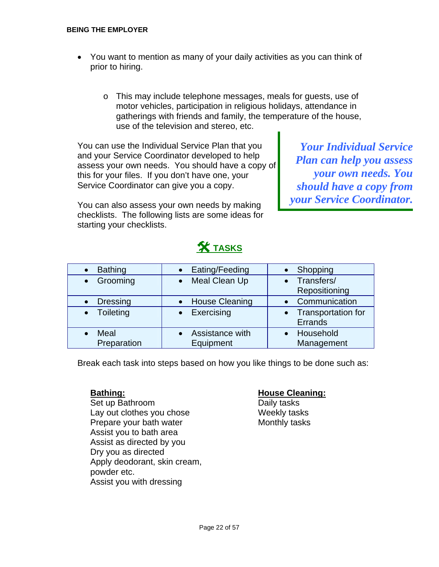- You want to mention as many of your daily activities as you can think of prior to hiring.
	- o This may include telephone messages, meals for guests, use of motor vehicles, participation in religious holidays, attendance in gatherings with friends and family, the temperature of the house, use of the television and stereo, etc.

You can use the Individual Service Plan that you *Your Individual Service*  and your Service Coordinator developed to help<br>assess your own needs. You should have a copy of **Plan can help you assess**<br>this for your files. If you don't have one, your this for your files. If you don't have one, your Service Coordinator can give you a copy. *should have a copy from* 

You can also assess your own needs by making your Service Coordinator. checklists. The following lists are some ideas for starting your checklists.

## **X** TASKS

| <b>Bathing</b>        | Eating/Feeding                      | Shopping                        |
|-----------------------|-------------------------------------|---------------------------------|
| Grooming<br>$\bullet$ | Meal Clean Up                       | • Transfers/                    |
|                       |                                     | Repositioning                   |
| <b>Dressing</b>       | <b>House Cleaning</b>               | • Communication                 |
| • Toileting           | Exercising                          | • Transportation for<br>Errands |
| Meal<br>Preparation   | <b>Assistance with</b><br>Equipment | • Household<br>Management       |

Break each task into steps based on how you like things to be done such as:

Set up Bathroom Daily tasks Lay out clothes you chose Meekly tasks Prepare your bath water Monthly tasks Assist you to bath area Assist as directed by you Dry you as directed Apply deodorant, skin cream, powder etc. Assist you with dressing

#### **Bathing: House Cleaning:**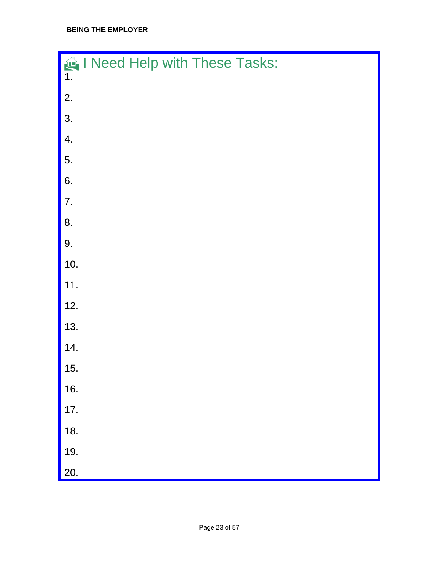| I Need Help with These Tasks:<br>1. |
|-------------------------------------|
| 2.                                  |
| 3.                                  |
| 4.                                  |
| 5.                                  |
| 6.                                  |
| 7.                                  |
| 8.                                  |
| 9.                                  |
| 10.                                 |
| 11.                                 |
| 12.                                 |
| 13.                                 |
| 14.                                 |
| 15.                                 |
| 16.                                 |
| 17.                                 |
| 18.                                 |
| 19.                                 |
| 20.                                 |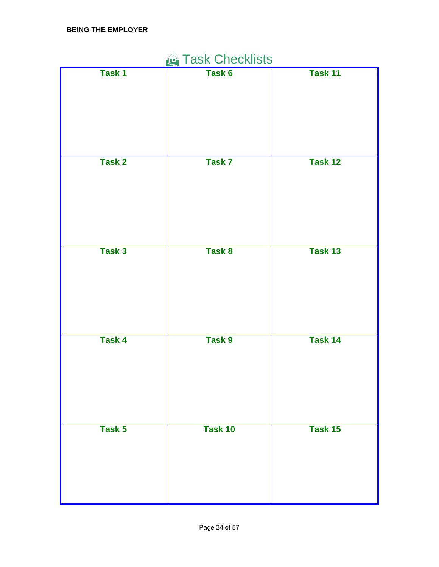| Task Checklists |         |         |  |
|-----------------|---------|---------|--|
| Task 1          | Task 6  | Task 11 |  |
| Task 2          | Task 7  | Task 12 |  |
| Task 3          | Task 8  | Task 13 |  |
| <b>Task 4</b>   | Task 9  | Task 14 |  |
| Task 5          | Task 10 | Task 15 |  |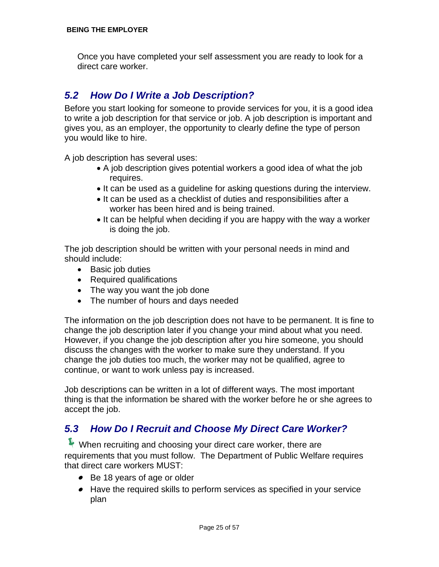Once you have completed your self assessment you are ready to look for a direct care worker.

#### *5.2 How Do I Write a Job Description?*

Before you start looking for someone to provide services for you, it is a good idea to write a job description for that service or job. A job description is important and gives you, as an employer, the opportunity to clearly define the type of person you would like to hire.

A job description has several uses:

- A job description gives potential workers a good idea of what the job requires.
- It can be used as a guideline for asking questions during the interview.
- It can be used as a checklist of duties and responsibilities after a worker has been hired and is being trained.
- It can be helpful when deciding if you are happy with the way a worker is doing the job.

The job description should be written with your personal needs in mind and should include:

- Basic job duties
- Required qualifications
- The way you want the job done
- The number of hours and days needed

The information on the job description does not have to be permanent. It is fine to change the job description later if you change your mind about what you need. However, if you change the job description after you hire someone, you should discuss the changes with the worker to make sure they understand. If you change the job duties too much, the worker may not be qualified, agree to continue, or want to work unless pay is increased.

Job descriptions can be written in a lot of different ways. The most important thing is that the information be shared with the worker before he or she agrees to accept the job.

### *5.3 How Do I Recruit and Choose My Direct Care Worker?*

 $\blacktriangleright$  When recruiting and choosing your direct care worker, there are requirements that you must follow. The Department of Public Welfare requires that direct care workers MUST:

- Be 18 years of age or older
- Have the required skills to perform services as specified in your service plan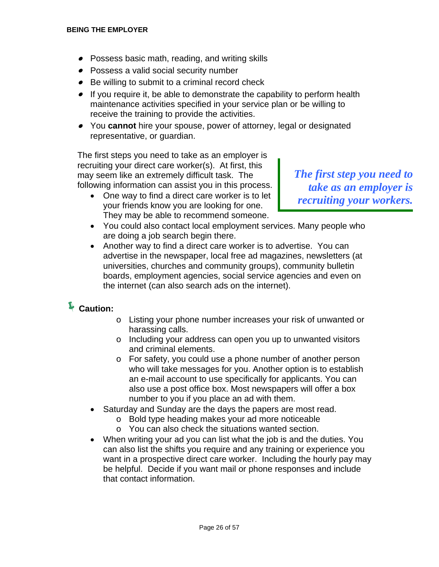- Possess basic math, reading, and writing skills
- Possess a valid social security number
- Be willing to submit to a criminal record check
- If you require it, be able to demonstrate the capability to perform health maintenance activities specified in your service plan or be willing to receive the training to provide the activities.
- You **cannot** hire your spouse, power of attorney, legal or designated representative, or guardian.

The first steps you need to take as an employer is recruiting your direct care worker(s). At first, this may seem like an extremely difficult task. The *The first step you need to* 

following information can assist you in this process.<br>
• One way to find a direct care worker is to let *recruiting your workers.*<br> *vour friends know you are looking for one.* They may be able to recommend someone.

- You could also contact local employment services. Many people who are doing a job search begin there.
- Another way to find a direct care worker is to advertise. You can advertise in the newspaper, local free ad magazines, newsletters (at universities, churches and community groups), community bulletin boards, employment agencies, social service agencies and even on the internet (can also search ads on the internet).

### Í**Caution:**

- o Listing your phone number increases your risk of unwanted or harassing calls.
- o Including your address can open you up to unwanted visitors and criminal elements.
- o For safety, you could use a phone number of another person who will take messages for you. Another option is to establish an e-mail account to use specifically for applicants. You can also use a post office box. Most newspapers will offer a box number to you if you place an ad with them.
- Saturday and Sunday are the days the papers are most read.
	- o Bold type heading makes your ad more noticeable
	- o You can also check the situations wanted section.
- When writing your ad you can list what the job is and the duties. You can also list the shifts you require and any training or experience you want in a prospective direct care worker. Including the hourly pay may be helpful. Decide if you want mail or phone responses and include that contact information.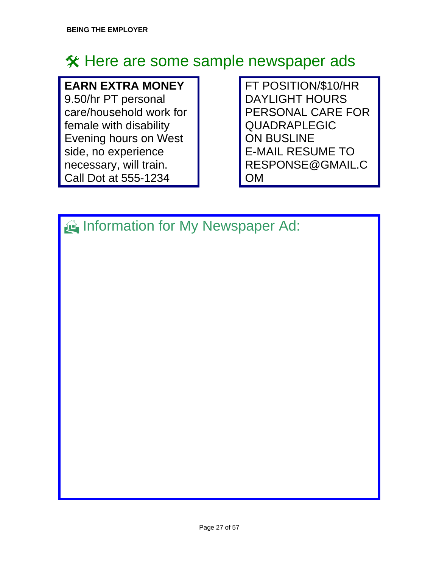## **X** Here are some sample newspaper ads

## **EARN EXTRA MONEY**

9.50/hr PT personal care/household work for female with disability Evening hours on West side, no experience necessary, will train. Call Dot at 555-1234

FT POSITION/\$10/HR DAYLIGHT HOURS PERSONAL CARE FOR QUADRAPLEGIC ON BUSLINE E-MAIL RESUME TO RESPONSE@GMAIL.C OM

Information for My Newspaper Ad: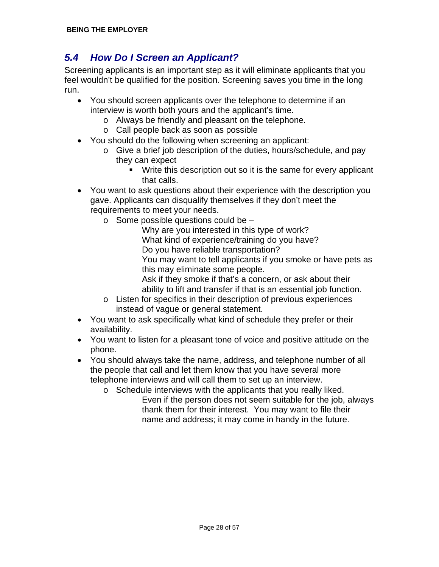### *5.4 How Do I Screen an Applicant?*

Screening applicants is an important step as it will eliminate applicants that you feel wouldn't be qualified for the position. Screening saves you time in the long run.

- You should screen applicants over the telephone to determine if an interview is worth both yours and the applicant's time.
	- o Always be friendly and pleasant on the telephone.
	- o Call people back as soon as possible
- You should do the following when screening an applicant:
	- o Give a brief job description of the duties, hours/schedule, and pay they can expect
		- Write this description out so it is the same for every applicant that calls.
- You want to ask questions about their experience with the description you gave. Applicants can disqualify themselves if they don't meet the requirements to meet your needs.
	- $\circ$  Some possible questions could be  $-$ 
		- Why are you interested in this type of work? What kind of experience/training do you have? Do you have reliable transportation? You may want to tell applicants if you smoke or have pets as this may eliminate some people. Ask if they smoke if that's a concern, or ask about their
		- ability to lift and transfer if that is an essential job function.
	- o Listen for specifics in their description of previous experiences instead of vague or general statement.
- You want to ask specifically what kind of schedule they prefer or their availability.
- You want to listen for a pleasant tone of voice and positive attitude on the phone.
- You should always take the name, address, and telephone number of all the people that call and let them know that you have several more telephone interviews and will call them to set up an interview.
	- o Schedule interviews with the applicants that you really liked. Even if the person does not seem suitable for the job, always thank them for their interest. You may want to file their name and address; it may come in handy in the future.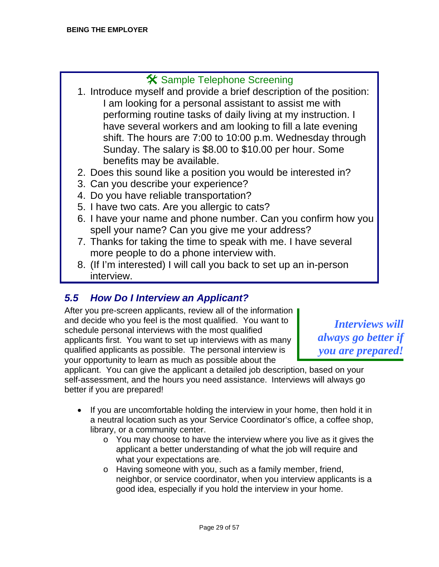### # Sample Telephone Screening

- 1. Introduce myself and provide a brief description of the position: I am looking for a personal assistant to assist me with performing routine tasks of daily living at my instruction. I have several workers and am looking to fill a late evening shift. The hours are 7:00 to 10:00 p.m. Wednesday through Sunday. The salary is \$8.00 to \$10.00 per hour. Some benefits may be available.
- 2. Does this sound like a position you would be interested in?
- 3. Can you describe your experience?
- 4. Do you have reliable transportation?
- 5. I have two cats. Are you allergic to cats?
- 6. I have your name and phone number. Can you confirm how you spell your name? Can you give me your address?
- 7. Thanks for taking the time to speak with me. I have several more people to do a phone interview with.
- 8. (If I'm interested) I will call you back to set up an in-person interview.

### *5.5 How Do I Interview an Applicant?*

After you pre-screen applicants, review all of the information and decide who you feel is the most qualified. You want to<br>schedule personal interviews with the most qualified<br>anolicants first. You want to set up interviews with as many always go better if applicants first. You want to set up interviews with as many qualified applicants as possible. The personal interview is *you are prepared!* your opportunity to learn as much as possible about the

applicant. You can give the applicant a detailed job description, based on your self-assessment, and the hours you need assistance.Interviews will always go better if you are prepared!

- If you are uncomfortable holding the interview in your home, then hold it in a neutral location such as your Service Coordinator's office, a coffee shop, library, or a community center.
	- $\circ$  You may choose to have the interview where you live as it gives the applicant a better understanding of what the job will require and what your expectations are.
	- o Having someone with you, such as a family member, friend, neighbor, or service coordinator, when you interview applicants is a good idea, especially if you hold the interview in your home.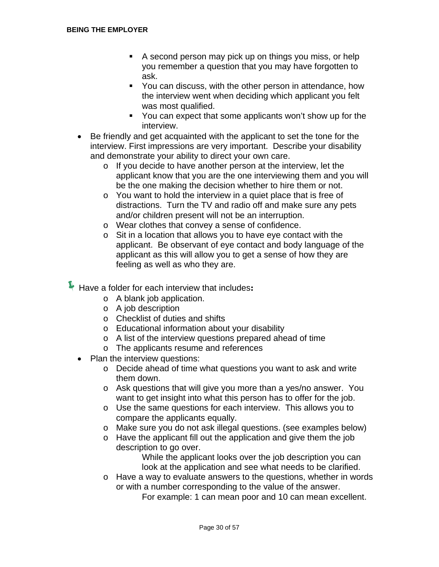- A second person may pick up on things you miss, or help you remember a question that you may have forgotten to ask.
- **You can discuss, with the other person in attendance, how** the interview went when deciding which applicant you felt was most qualified.
- You can expect that some applicants won't show up for the interview.
- Be friendly and get acquainted with the applicant to set the tone for the interview. First impressions are very important. Describe your disability and demonstrate your ability to direct your own care.
	- o If you decide to have another person at the interview, let the applicant know that you are the one interviewing them and you will be the one making the decision whether to hire them or not.
	- o You want to hold the interview in a quiet place that is free of distractions. Turn the TV and radio off and make sure any pets and/or children present will not be an interruption.
	- o Wear clothes that convey a sense of confidence.
	- o Sit in a location that allows you to have eye contact with the applicant. Be observant of eye contact and body language of the applicant as this will allow you to get a sense of how they are feeling as well as who they are.

ÍHave a folder for each interview that includes**:**

- o A blank job application.
- o A job description
- o Checklist of duties and shifts
- o Educational information about your disability
- o A list of the interview questions prepared ahead of time
- o The applicants resume and references
- Plan the interview questions:
	- o Decide ahead of time what questions you want to ask and write them down.
	- o Ask questions that will give you more than a yes/no answer. You want to get insight into what this person has to offer for the job.
	- o Use the same questions for each interview. This allows you to compare the applicants equally.
	- o Make sure you do not ask illegal questions. (see examples below)
	- o Have the applicant fill out the application and give them the job description to go over.

 While the applicant looks over the job description you can look at the application and see what needs to be clarified.

o Have a way to evaluate answers to the questions, whether in words or with a number corresponding to the value of the answer.

For example: 1 can mean poor and 10 can mean excellent.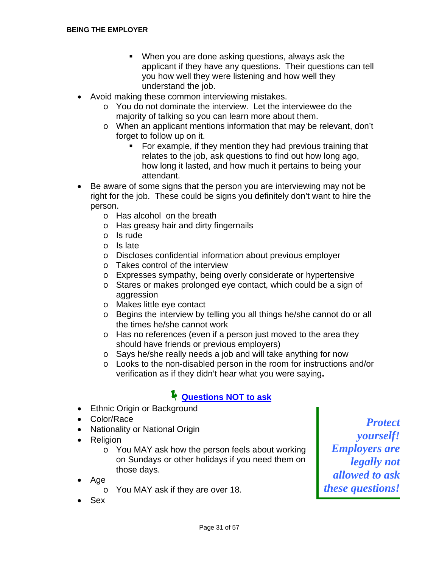- When you are done asking questions, always ask the applicant if they have any questions. Their questions can tell you how well they were listening and how well they understand the job.
- Avoid making these common interviewing mistakes.
	- o You do not dominate the interview. Let the interviewee do the majority of talking so you can learn more about them.
	- o When an applicant mentions information that may be relevant, don't forget to follow up on it.
		- For example, if they mention they had previous training that relates to the job, ask questions to find out how long ago, how long it lasted, and how much it pertains to being your attendant.
- Be aware of some signs that the person you are interviewing may not be right for the job. These could be signs you definitely don't want to hire the person.
	- o Has alcohol on the breath
	- o Has greasy hair and dirty fingernails
	- o Is rude
	- o Is late
	- o Discloses confidential information about previous employer
	- o Takes control of the interview
	- o Expresses sympathy, being overly considerate or hypertensive
	- o Stares or makes prolonged eye contact, which could be a sign of aggression
	- o Makes little eye contact
	- o Begins the interview by telling you all things he/she cannot do or all the times he/she cannot work
	- o Has no references (even if a person just moved to the area they should have friends or previous employers)
	- o Says he/she really needs a job and will take anything for now
	- o Looks to the non-disabled person in the room for instructions and/or verification as if they didn't hear what you were saying**.**

### Í**Questions NOT to ask**

- Ethnic Origin or Background
- 
- 
- 
- Individity of Indivital Origin<br>
 Religion<br>
o You MAY ask how the person feels about working **Employers are** o You MAY ask how the person feels about working on Sundays or other holidays if you need them on *legally not*
- - o You MAY ask if they are over 18.
- Sex

• Color/Race *Protect* • Nationality or National Origin those days.<br>Age allowed to ask if they are over 18.<br>*these questions!*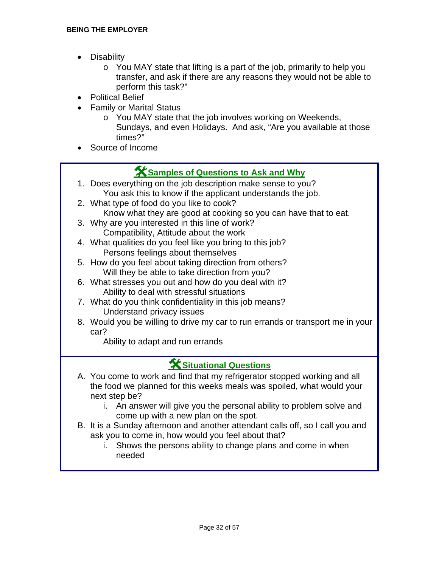- Disability
	- o You MAY state that lifting is a part of the job, primarily to help you transfer, and ask if there are any reasons they would not be able to perform this task?"
- Political Belief
- Family or Marital Status
	- o You MAY state that the job involves working on Weekends, Sundays, and even Holidays. And ask, "Are you available at those times?"
- Source of Income

## **K** Samples of Questions to Ask and Why

- 1. Does everything on the job description make sense to you? You ask this to know if the applicant understands the job.
- 2. What type of food do you like to cook? Know what they are good at cooking so you can have that to eat.
- 3. Why are you interested in this line of work? Compatibility, Attitude about the work
- 4. What qualities do you feel like you bring to this job? Persons feelings about themselves
- 5. How do you feel about taking direction from others? Will they be able to take direction from you?
- 6. What stresses you out and how do you deal with it? Ability to deal with stressful situations
- 7. What do you think confidentiality in this job means? Understand privacy issues
- 8. Would you be willing to drive my car to run errands or transport me in your car?

Ability to adapt and run errands

### #**Situational Questions**

- A. You come to work and find that my refrigerator stopped working and all the food we planned for this weeks meals was spoiled, what would your next step be?
	- i. An answer will give you the personal ability to problem solve and come up with a new plan on the spot.
- B. It is a Sunday afternoon and another attendant calls off, so I call you and ask you to come in, how would you feel about that?
	- i. Shows the persons ability to change plans and come in when needed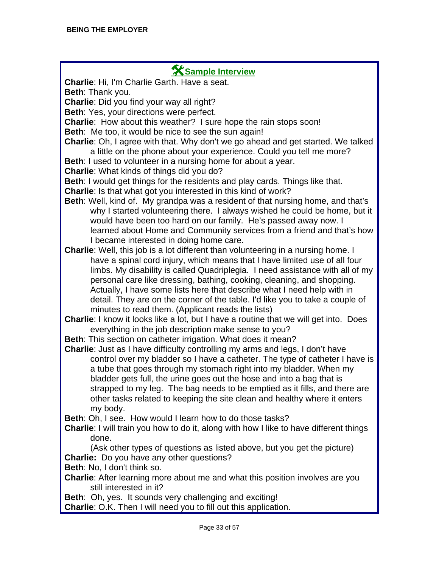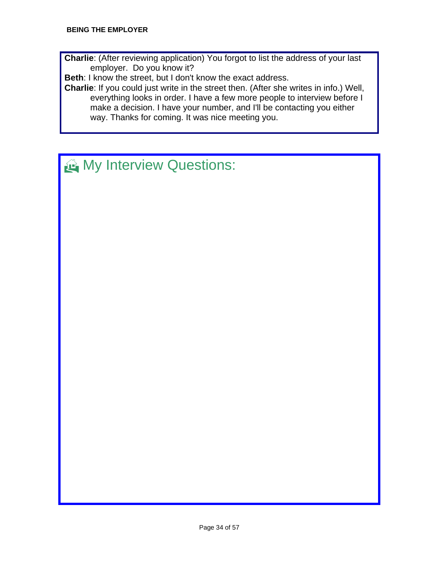**Charlie**: (After reviewing application) You forgot to list the address of your last employer. Do you know it?

**Beth**: I know the street, but I don't know the exact address.

**Charlie**: If you could just write in the street then. (After she writes in info.) Well, everything looks in order. I have a few more people to interview before I make a decision. I have your number, and I'll be contacting you either way. Thanks for coming. It was nice meeting you.

## $\bigoplus$  My Interview Questions: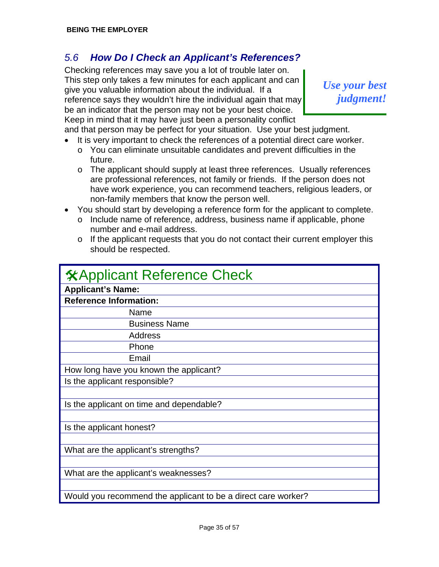#### *5.6 How Do I Check an Applicant's References?*

Checking references may save you a lot of trouble later on. This step only takes a few minutes for each applicant and can Filis step only takes a few filifides for each applicant and carr  $\begin{array}{cc} Use \space your \ best \end{array}$  give your valuable information about the individual. If a *Use your best*  $\begin{array}{cc} Use \space your \ best. \end{array}$ reference says they wouldn't hire the individual again that may be an indicator that the person may not be your best choice. Keep in mind that it may have just been a personality conflict

and that person may be perfect for your situation. Use your best judgment.

- It is very important to check the references of a potential direct care worker.  $\circ$  You can eliminate unsuitable candidates and prevent difficulties in the future.
	- o The applicant should supply at least three references. Usually references are professional references, not family or friends. If the person does not have work experience, you can recommend teachers, religious leaders, or non-family members that know the person well.
- You should start by developing a reference form for the applicant to complete.
	- o Include name of reference, address, business name if applicable, phone number and e-mail address.
	- o If the applicant requests that you do not contact their current employer this should be respected.

| <b>XApplicant Reference Check</b>                             |
|---------------------------------------------------------------|
| <b>Applicant's Name:</b>                                      |
| <b>Reference Information:</b>                                 |
| Name                                                          |
| <b>Business Name</b>                                          |
| Address                                                       |
| Phone                                                         |
| Email                                                         |
| How long have you known the applicant?                        |
| Is the applicant responsible?                                 |
|                                                               |
| Is the applicant on time and dependable?                      |
|                                                               |
| Is the applicant honest?                                      |
|                                                               |
| What are the applicant's strengths?                           |
|                                                               |
| What are the applicant's weaknesses?                          |
|                                                               |
| Would you recommend the applicant to be a direct care worker? |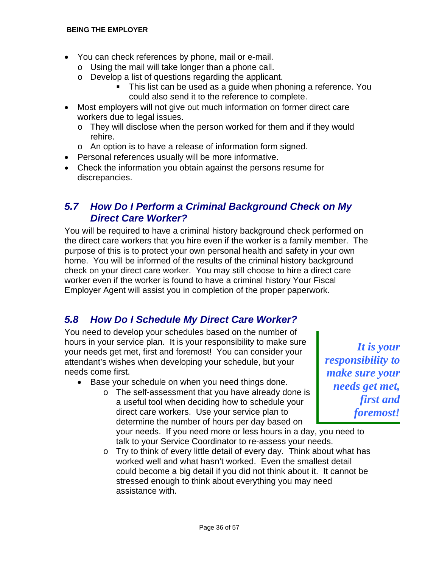- You can check references by phone, mail or e-mail.
	- o Using the mail will take longer than a phone call.
	- o Develop a list of questions regarding the applicant.
		- This list can be used as a guide when phoning a reference. You could also send it to the reference to complete.
- Most employers will not give out much information on former direct care workers due to legal issues.
	- o They will disclose when the person worked for them and if they would rehire.
	- o An option is to have a release of information form signed.
- Personal references usually will be more informative.
- Check the information you obtain against the persons resume for discrepancies.

#### *5.7 How Do I Perform a Criminal Background Check on My Direct Care Worker?*

You will be required to have a criminal history background check performed on the direct care workers that you hire even if the worker is a family member. The purpose of this is to protect your own personal health and safety in your own home. You will be informed of the results of the criminal history background check on your direct care worker. You may still choose to hire a direct care worker even if the worker is found to have a criminal history Your Fiscal Employer Agent will assist you in completion of the proper paperwork.

### *5.8 How Do I Schedule My Direct Care Worker?*

You need to develop your schedules based on the number of hours in your service plan. It is your responsibility to make sure<br>
your needs get met, first and foremost! You can consider your<br>
attendant's wishes when developing your schedule, but your *responsibility to* attendant's wishes when developing your schedule, but your

- 
- needs come first.<br>
 Base your schedule on when you need things done.<br>
 The self-assessment that you have already done is<br> *needs get met,*<br> **institution when deciding how to schedule your<br>** *first and* a useful tool when deciding how to schedule your *first and* direct care workers. Use your service plan to *foremost!* direct care workers. Use your service plan to *determine the number of hours per day based on*

your needs. If you need more or less hours in a day, you need to talk to your Service Coordinator to re-assess your needs.

o Try to think of every little detail of every day. Think about what has worked well and what hasn't worked. Even the smallest detail could become a big detail if you did not think about it. It cannot be stressed enough to think about everything you may need assistance with.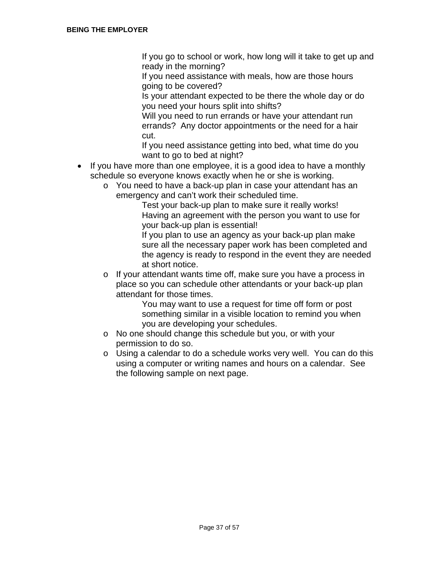If you go to school or work, how long will it take to get up and ready in the morning?

 If you need assistance with meals, how are those hours going to be covered?

 Is your attendant expected to be there the whole day or do you need your hours split into shifts?

 Will you need to run errands or have your attendant run errands? Any doctor appointments or the need for a hair cut.

 If you need assistance getting into bed, what time do you want to go to bed at night?

- If you have more than one employee, it is a good idea to have a monthly schedule so everyone knows exactly when he or she is working.
	- o You need to have a back-up plan in case your attendant has an emergency and can't work their scheduled time.

 Test your back-up plan to make sure it really works! Having an agreement with the person you want to use for your back-up plan is essential!

 If you plan to use an agency as your back-up plan make sure all the necessary paper work has been completed and the agency is ready to respond in the event they are needed at short notice.

o If your attendant wants time off, make sure you have a process in place so you can schedule other attendants or your back-up plan attendant for those times.

 You may want to use a request for time off form or post something similar in a visible location to remind you when you are developing your schedules.

- o No one should change this schedule but you, or with your permission to do so.
- o Using a calendar to do a schedule works very well. You can do this using a computer or writing names and hours on a calendar. See the following sample on next page.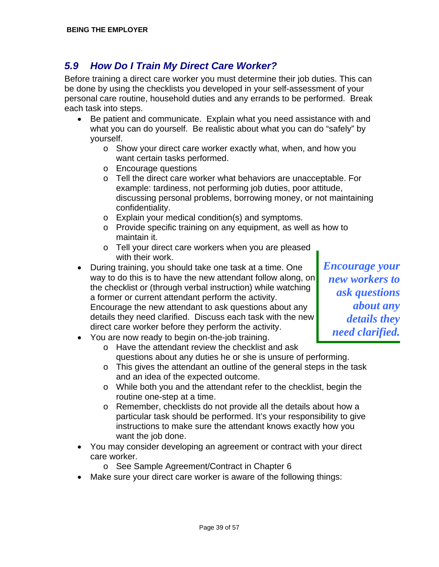#### *5.9 How Do I Train My Direct Care Worker?*

Before training a direct care worker you must determine their job duties. This can be done by using the checklists you developed in your self-assessment of your personal care routine, household duties and any errands to be performed. Break each task into steps.

- Be patient and communicate. Explain what you need assistance with and what you can do yourself. Be realistic about what you can do "safely" by yourself.
	- o Show your direct care worker exactly what, when, and how you want certain tasks performed.
	- o Encourage questions
	- o Tell the direct care worker what behaviors are unacceptable. For example: tardiness, not performing job duties, poor attitude, discussing personal problems, borrowing money, or not maintaining confidentiality.
	- o Explain your medical condition(s) and symptoms.
	- o Provide specific training on any equipment, as well as how to maintain it.
	- o Tell your direct care workers when you are pleased with their work.
- During training, you should take one task at a time. One **Full Line of the Tayle and T** way to do this is to have the new attendant follow along, on *new workers to* the checklist or (through verbal instruction) while watching a former or current attendant perform the activity.<br>
Encourage the new attendant to ask questions about any *ask questions* Encourage the new attendant to ask questions about any *about any*  details they need clarified. Discuss each task with the new *details they* direct care worker before they perform the activity.<br>New sexual proposable to be six an the isla training:

- You are now ready to begin on-the-job training.
	- o Have the attendant review the checklist and ask questions about any duties he or she is unsure of performing.
	- o This gives the attendant an outline of the general steps in the task and an idea of the expected outcome.
	- o While both you and the attendant refer to the checklist, begin the routine one-step at a time.
	- o Remember, checklists do not provide all the details about how a particular task should be performed. It's your responsibility to give instructions to make sure the attendant knows exactly how you want the job done.
- You may consider developing an agreement or contract with your direct care worker.
	- o See Sample Agreement/Contract in Chapter 6
- Make sure your direct care worker is aware of the following things: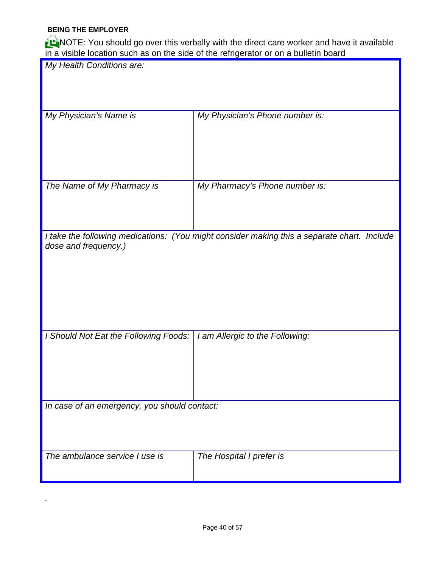#### **BEING THE EMPLOYER**

*.*

HNOTE: You should go over this verbally with the direct care worker and have it available in a visible location such as on the side of the refrigerator or on a bulletin board

|                                              | in a visible location such as on the side of the refrigerator or on a builetin board        |
|----------------------------------------------|---------------------------------------------------------------------------------------------|
| My Health Conditions are:                    |                                                                                             |
|                                              |                                                                                             |
|                                              |                                                                                             |
|                                              |                                                                                             |
| My Physician's Name is                       | My Physician's Phone number is:                                                             |
|                                              |                                                                                             |
|                                              |                                                                                             |
|                                              |                                                                                             |
|                                              |                                                                                             |
|                                              |                                                                                             |
| The Name of My Pharmacy is                   | My Pharmacy's Phone number is:                                                              |
|                                              |                                                                                             |
|                                              |                                                                                             |
|                                              |                                                                                             |
|                                              | I take the following medications: (You might consider making this a separate chart. Include |
| dose and frequency.)                         |                                                                                             |
|                                              |                                                                                             |
|                                              |                                                                                             |
|                                              |                                                                                             |
|                                              |                                                                                             |
|                                              |                                                                                             |
|                                              |                                                                                             |
|                                              |                                                                                             |
| I Should Not Eat the Following Foods:        | I am Allergic to the Following:                                                             |
|                                              |                                                                                             |
|                                              |                                                                                             |
|                                              |                                                                                             |
|                                              |                                                                                             |
|                                              |                                                                                             |
| In case of an emergency, you should contact: |                                                                                             |
|                                              |                                                                                             |
|                                              |                                                                                             |
|                                              |                                                                                             |
| The ambulance service I use is               | The Hospital I prefer is                                                                    |
|                                              |                                                                                             |
|                                              |                                                                                             |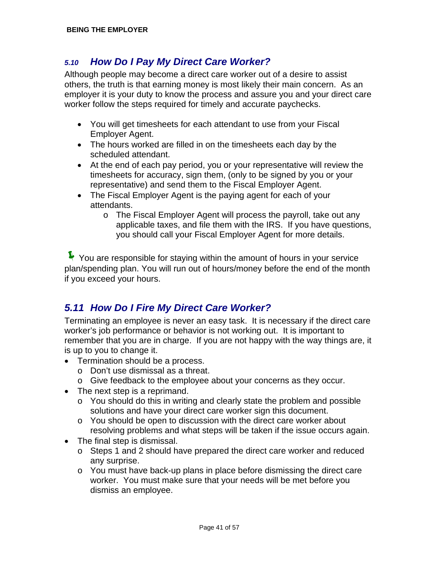#### *5.10 How Do I Pay My Direct Care Worker?*

Although people may become a direct care worker out of a desire to assist others, the truth is that earning money is most likely their main concern. As an employer it is your duty to know the process and assure you and your direct care worker follow the steps required for timely and accurate paychecks.

- You will get timesheets for each attendant to use from your Fiscal Employer Agent.
- The hours worked are filled in on the timesheets each day by the scheduled attendant.
- At the end of each pay period, you or your representative will review the timesheets for accuracy, sign them, (only to be signed by you or your representative) and send them to the Fiscal Employer Agent.
- The Fiscal Employer Agent is the paying agent for each of your attendants.
	- o The Fiscal Employer Agent will process the payroll, take out any applicable taxes, and file them with the IRS. If you have questions, you should call your Fiscal Employer Agent for more details.

 $\blacktriangleright$  You are responsible for staying within the amount of hours in your service plan/spending plan. You will run out of hours/money before the end of the month if you exceed your hours.

### *5.11 How Do I Fire My Direct Care Worker?*

Terminating an employee is never an easy task. It is necessary if the direct care worker's job performance or behavior is not working out. It is important to remember that you are in charge. If you are not happy with the way things are, it is up to you to change it.

- Termination should be a process.
	- o Don't use dismissal as a threat.
	- o Give feedback to the employee about your concerns as they occur.
- The next step is a reprimand.
	- $\circ$  You should do this in writing and clearly state the problem and possible solutions and have your direct care worker sign this document.
	- $\circ$  You should be open to discussion with the direct care worker about resolving problems and what steps will be taken if the issue occurs again.
- The final step is dismissal.
	- o Steps 1 and 2 should have prepared the direct care worker and reduced any surprise.
	- o You must have back-up plans in place before dismissing the direct care worker. You must make sure that your needs will be met before you dismiss an employee.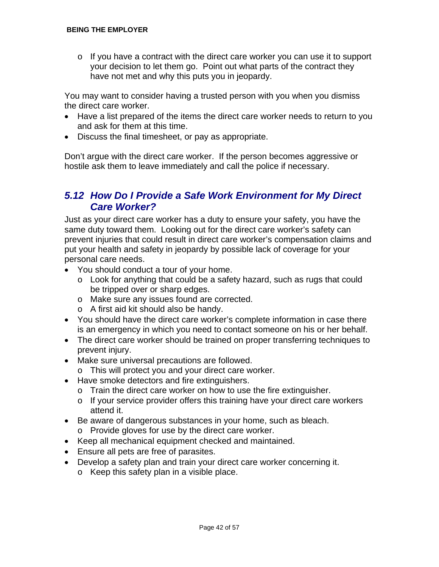$\circ$  If you have a contract with the direct care worker you can use it to support your decision to let them go. Point out what parts of the contract they have not met and why this puts you in jeopardy.

You may want to consider having a trusted person with you when you dismiss the direct care worker.

- Have a list prepared of the items the direct care worker needs to return to you and ask for them at this time.
- Discuss the final timesheet, or pay as appropriate.

Don't argue with the direct care worker. If the person becomes aggressive or hostile ask them to leave immediately and call the police if necessary.

#### *5.12 How Do I Provide a Safe Work Environment for My Direct Care Worker?*

Just as your direct care worker has a duty to ensure your safety, you have the same duty toward them. Looking out for the direct care worker's safety can prevent injuries that could result in direct care worker's compensation claims and put your health and safety in jeopardy by possible lack of coverage for your personal care needs.

- You should conduct a tour of your home.
	- o Look for anything that could be a safety hazard, such as rugs that could be tripped over or sharp edges.
	- o Make sure any issues found are corrected.
	- o A first aid kit should also be handy.
- You should have the direct care worker's complete information in case there is an emergency in which you need to contact someone on his or her behalf.
- The direct care worker should be trained on proper transferring techniques to prevent injury.
- Make sure universal precautions are followed.
	- o This will protect you and your direct care worker.
- Have smoke detectors and fire extinguishers.
	- o Train the direct care worker on how to use the fire extinguisher.
	- $\circ$  If your service provider offers this training have your direct care workers attend it.
- Be aware of dangerous substances in your home, such as bleach.
	- o Provide gloves for use by the direct care worker.
- Keep all mechanical equipment checked and maintained.
- Ensure all pets are free of parasites.
- Develop a safety plan and train your direct care worker concerning it.
	- o Keep this safety plan in a visible place.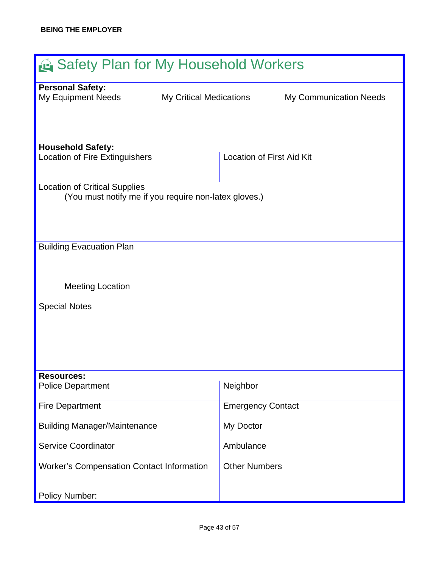| Safety Plan for My Household Workers                  |                                |                                  |                        |  |
|-------------------------------------------------------|--------------------------------|----------------------------------|------------------------|--|
| <b>Personal Safety:</b>                               |                                |                                  |                        |  |
| <b>My Equipment Needs</b>                             | <b>My Critical Medications</b> |                                  | My Communication Needs |  |
|                                                       |                                |                                  |                        |  |
|                                                       |                                |                                  |                        |  |
|                                                       |                                |                                  |                        |  |
|                                                       |                                |                                  |                        |  |
| <b>Household Safety:</b>                              |                                |                                  |                        |  |
| <b>Location of Fire Extinguishers</b>                 |                                | <b>Location of First Aid Kit</b> |                        |  |
|                                                       |                                |                                  |                        |  |
| <b>Location of Critical Supplies</b>                  |                                |                                  |                        |  |
| (You must notify me if you require non-latex gloves.) |                                |                                  |                        |  |
|                                                       |                                |                                  |                        |  |
|                                                       |                                |                                  |                        |  |
|                                                       |                                |                                  |                        |  |
|                                                       |                                |                                  |                        |  |
| <b>Building Evacuation Plan</b>                       |                                |                                  |                        |  |
|                                                       |                                |                                  |                        |  |
|                                                       |                                |                                  |                        |  |
|                                                       |                                |                                  |                        |  |
| <b>Meeting Location</b>                               |                                |                                  |                        |  |
|                                                       |                                |                                  |                        |  |
| <b>Special Notes</b>                                  |                                |                                  |                        |  |
|                                                       |                                |                                  |                        |  |
|                                                       |                                |                                  |                        |  |
|                                                       |                                |                                  |                        |  |
|                                                       |                                |                                  |                        |  |
|                                                       |                                |                                  |                        |  |
| <b>Resources:</b>                                     |                                |                                  |                        |  |
| <b>Police Department</b>                              |                                | Neighbor                         |                        |  |
|                                                       |                                |                                  |                        |  |
| <b>Fire Department</b>                                |                                | <b>Emergency Contact</b>         |                        |  |
|                                                       |                                |                                  |                        |  |
| <b>Building Manager/Maintenance</b>                   |                                | My Doctor                        |                        |  |
|                                                       |                                |                                  |                        |  |
| <b>Service Coordinator</b>                            |                                | Ambulance                        |                        |  |
|                                                       |                                |                                  |                        |  |
| <b>Worker's Compensation Contact Information</b>      |                                | <b>Other Numbers</b>             |                        |  |
|                                                       |                                |                                  |                        |  |
|                                                       |                                |                                  |                        |  |
| <b>Policy Number:</b>                                 |                                |                                  |                        |  |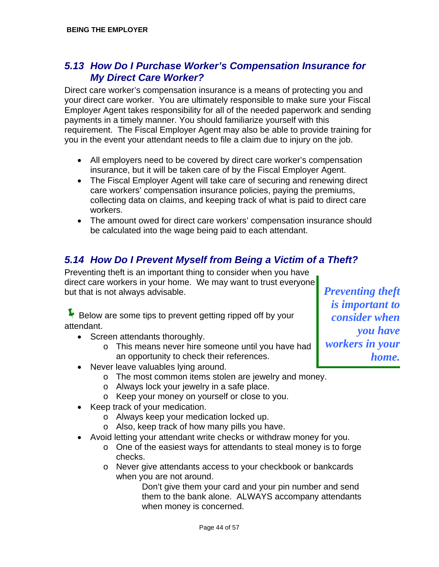#### *5.13 How Do I Purchase Worker's Compensation Insurance for My Direct Care Worker?*

Direct care worker's compensation insurance is a means of protecting you and your direct care worker. You are ultimately responsible to make sure your Fiscal Employer Agent takes responsibility for all of the needed paperwork and sending payments in a timely manner. You should familiarize yourself with this requirement. The Fiscal Employer Agent may also be able to provide training for you in the event your attendant needs to file a claim due to injury on the job.

- All employers need to be covered by direct care worker's compensation insurance, but it will be taken care of by the Fiscal Employer Agent.
- The Fiscal Employer Agent will take care of securing and renewing direct care workers' compensation insurance policies, paying the premiums, collecting data on claims, and keeping track of what is paid to direct care workers.
- The amount owed for direct care workers' compensation insurance should be calculated into the wage being paid to each attendant.

#### *5.14 How Do I Prevent Myself from Being a Victim of a Theft?*

Preventing theft is an important thing to consider when you have direct care workers in your home. We may want to trust everyone but that is not always advisable. *Preventing theft* 

F Below are some tips to prevent getting ripped off by your attendant.

- Screen attendants thoroughly.
	- o This means never hire someone until you have had an opportunity to check their references.
- Never leave valuables lying around.
	- o The most common items stolen are jewelry and money.
	- o Always lock your jewelry in a safe place.
	- o Keep your money on yourself or close to you.
- Keep track of your medication.
	- o Always keep your medication locked up.
	- o Also, keep track of how many pills you have.
- Avoid letting your attendant write checks or withdraw money for you.
	- o One of the easiest ways for attendants to steal money is to forge checks.
	- o Never give attendants access to your checkbook or bankcards when you are not around.

 Don't give them your card and your pin number and send them to the bank alone. ALWAYS accompany attendants when money is concerned.

*is important to consider when you have workers in your home.*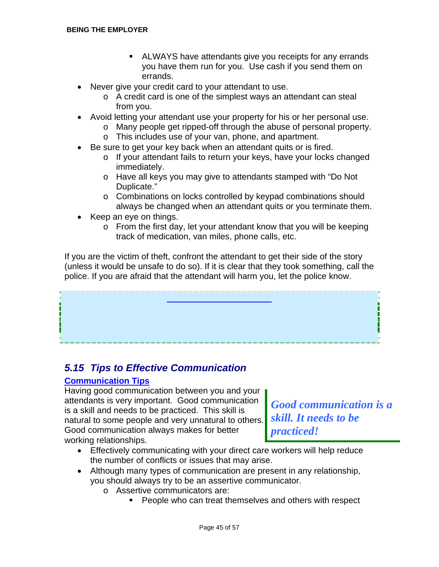- ALWAYS have attendants give you receipts for any errands you have them run for you. Use cash if you send them on errands.
- Never give your credit card to your attendant to use.
	- o A credit card is one of the simplest ways an attendant can steal from you.
- Avoid letting your attendant use your property for his or her personal use.
	- o Many people get ripped-off through the abuse of personal property.
	- o This includes use of your van, phone, and apartment.
- Be sure to get your key back when an attendant quits or is fired.
	- o If your attendant fails to return your keys, have your locks changed immediately.
	- o Have all keys you may give to attendants stamped with "Do Not Duplicate."
	- o Combinations on locks controlled by keypad combinations should always be changed when an attendant quits or you terminate them.
- Keep an eye on things.
	- o From the first day, let your attendant know that you will be keeping track of medication, van miles, phone calls, etc.

If you are the victim of theft, confront the attendant to get their side of the story (unless it would be unsafe to do so). If it is clear that they took something, call the police. If you are afraid that the attendant will harm you, let the police know.

# **A word about Boundaries**

### *5.15 Tips to Effective Communication*

#### **Communication Tips**

Having good communication between you and your attendants is very important. Good communication<br>is a skill and needs to be practiced. This skill is<br>natural to some people and very uppatural to others skill. It needs to be natural to some people and very unnatural to others. Good communication always makes for better *practiced!*<br>working relationships.

- Effectively communicating with your direct care workers will help reduce the number of conflicts or issues that may arise.
- Although many types of communication are present in any relationship, you should always try to be an assertive communicator.
	- o Assertive communicators are:
		- **People who can treat themselves and others with respect**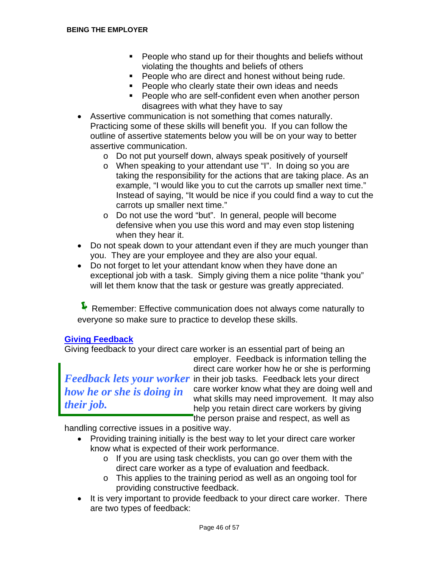- **People who stand up for their thoughts and beliefs without** violating the thoughts and beliefs of others
- **People who are direct and honest without being rude.**
- **People who clearly state their own ideas and needs**
- **People who are self-confident even when another person** disagrees with what they have to say
- Assertive communication is not something that comes naturally. Practicing some of these skills will benefit you. If you can follow the outline of assertive statements below you will be on your way to better assertive communication.
	- o Do not put yourself down, always speak positively of yourself
	- o When speaking to your attendant use "I". In doing so you are taking the responsibility for the actions that are taking place. As an example, "I would like you to cut the carrots up smaller next time." Instead of saying, "It would be nice if you could find a way to cut the carrots up smaller next time."
	- o Do not use the word "but". In general, people will become defensive when you use this word and may even stop listening when they hear it.
- Do not speak down to your attendant even if they are much younger than you. They are your employee and they are also your equal.
- Do not forget to let your attendant know when they have done an exceptional job with a task. Simply giving them a nice polite "thank you" will let them know that the task or gesture was greatly appreciated.

**F** Remember: Effective communication does not always come naturally to everyone so make sure to practice to develop these skills.

#### **Giving Feedback**

Giving feedback to your direct care worker is an essential part of being an

employer. Feedback is information telling the direct care worker how he or she is performing *Feedback lets your worker* in their job tasks. Feedback lets your direct *Reviseds the arsha is doing in* care worker know what they are doing well and *how he or she is doing in* care worker know what they are doing well and<br>what skills may need improvement. It may also *their job.* **help you retain direct care workers by giving** the person praise and respect, as well as

handling corrective issues in a positive way.

- Providing training initially is the best way to let your direct care worker know what is expected of their work performance.
	- o If you are using task checklists, you can go over them with the direct care worker as a type of evaluation and feedback.
	- o This applies to the training period as well as an ongoing tool for providing constructive feedback.
- It is very important to provide feedback to your direct care worker. There are two types of feedback: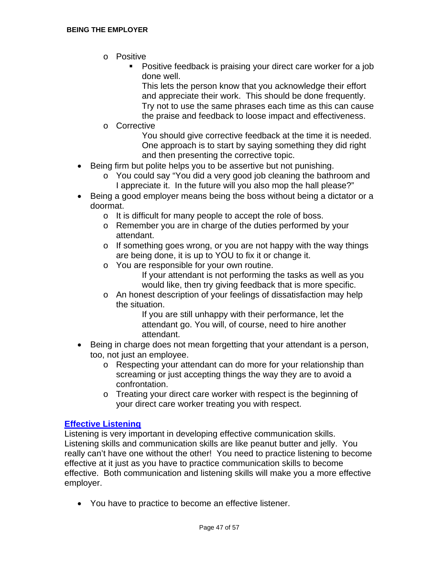- o Positive
	- Positive feedback is praising your direct care worker for a job done well.

 This lets the person know that you acknowledge their effort and appreciate their work. This should be done frequently. Try not to use the same phrases each time as this can cause the praise and feedback to loose impact and effectiveness.

o Corrective

 You should give corrective feedback at the time it is needed. One approach is to start by saying something they did right and then presenting the corrective topic.

- Being firm but polite helps you to be assertive but not punishing.
	- o You could say "You did a very good job cleaning the bathroom and I appreciate it. In the future will you also mop the hall please?"
- Being a good employer means being the boss without being a dictator or a doormat.
	- o It is difficult for many people to accept the role of boss.
	- o Remember you are in charge of the duties performed by your attendant.
	- o If something goes wrong, or you are not happy with the way things are being done, it is up to YOU to fix it or change it.
	- o You are responsible for your own routine.
		- If your attendant is not performing the tasks as well as you would like, then try giving feedback that is more specific.
	- o An honest description of your feelings of dissatisfaction may help the situation.

 If you are still unhappy with their performance, let the attendant go. You will, of course, need to hire another attendant.

- Being in charge does not mean forgetting that your attendant is a person, too, not just an employee.
	- o Respecting your attendant can do more for your relationship than screaming or just accepting things the way they are to avoid a confrontation.
	- $\circ$  Treating your direct care worker with respect is the beginning of your direct care worker treating you with respect.

#### **Effective Listening**

Listening is very important in developing effective communication skills. Listening skills and communication skills are like peanut butter and jelly. You really can't have one without the other! You need to practice listening to become effective at it just as you have to practice communication skills to become effective. Both communication and listening skills will make you a more effective employer.

• You have to practice to become an effective listener.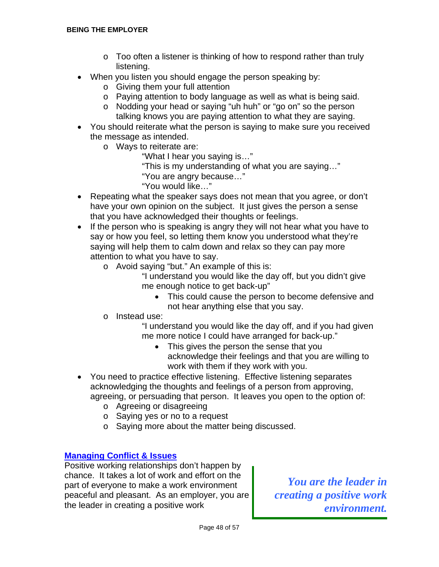- o Too often a listener is thinking of how to respond rather than truly listening.
- When you listen you should engage the person speaking by:
	- o Giving them your full attention
	- o Paying attention to body language as well as what is being said.
	- o Nodding your head or saying "uh huh" or "go on" so the person talking knows you are paying attention to what they are saying.
- You should reiterate what the person is saying to make sure you received the message as intended.
	- o Ways to reiterate are:
		- "What I hear you saying is…"
		- "This is my understanding of what you are saying…"
		- "You are angry because…"
		- "You would like…"
- Repeating what the speaker says does not mean that you agree, or don't have your own opinion on the subject. It just gives the person a sense that you have acknowledged their thoughts or feelings.
- If the person who is speaking is angry they will not hear what you have to say or how you feel, so letting them know you understood what they're saying will help them to calm down and relax so they can pay more attention to what you have to say.
	- o Avoid saying "but." An example of this is:
		- "I understand you would like the day off, but you didn't give me enough notice to get back-up"
			- This could cause the person to become defensive and not hear anything else that you say.
	- o Instead use:
		- "I understand you would like the day off, and if you had given me more notice I could have arranged for back-up."
			- This gives the person the sense that you acknowledge their feelings and that you are willing to work with them if they work with you.
- You need to practice effective listening. Effective listening separates acknowledging the thoughts and feelings of a person from approving, agreeing, or persuading that person. It leaves you open to the option of:
	- o Agreeing or disagreeing
	- o Saying yes or no to a request
	- o Saying more about the matter being discussed.

#### **Managing Conflict & Issues**

Positive working relationships don't happen by chance. It takes a lot of work and effort on the part of everyone to make a work environment<br>peaceful and pleasant. As an employer, you are *creating a positive work* peaceful and pleasant. As an employer, you are the leader in creating a positive work *environment.*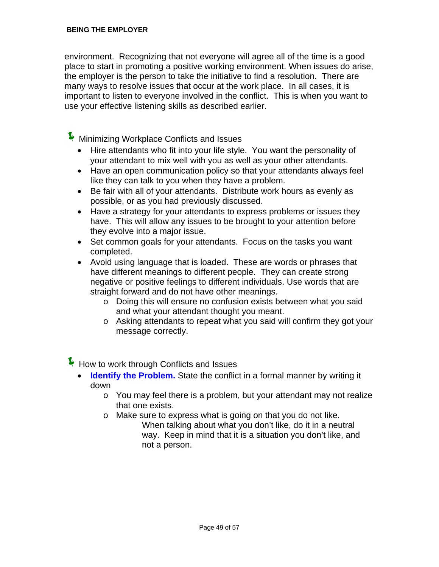environment. Recognizing that not everyone will agree all of the time is a good place to start in promoting a positive working environment. When issues do arise, the employer is the person to take the initiative to find a resolution. There are many ways to resolve issues that occur at the work place. In all cases, it is important to listen to everyone involved in the conflict. This is when you want to use your effective listening skills as described earlier.

 $\blacktriangleright$  Minimizing Workplace Conflicts and Issues

- Hire attendants who fit into your life style. You want the personality of your attendant to mix well with you as well as your other attendants.
- Have an open communication policy so that your attendants always feel like they can talk to you when they have a problem.
- Be fair with all of your attendants. Distribute work hours as evenly as possible, or as you had previously discussed.
- Have a strategy for your attendants to express problems or issues they have. This will allow any issues to be brought to your attention before they evolve into a major issue.
- Set common goals for your attendants. Focus on the tasks you want completed.
- Avoid using language that is loaded. These are words or phrases that have different meanings to different people. They can create strong negative or positive feelings to different individuals. Use words that are straight forward and do not have other meanings.
	- o Doing this will ensure no confusion exists between what you said and what your attendant thought you meant.
	- o Asking attendants to repeat what you said will confirm they got your message correctly.

 $\blacktriangleright$  How to work through Conflicts and Issues

- **Identify the Problem.** State the conflict in a formal manner by writing it down
	- $\circ$  You may feel there is a problem, but your attendant may not realize that one exists.
	- o Make sure to express what is going on that you do not like. When talking about what you don't like, do it in a neutral way. Keep in mind that it is a situation you don't like, and not a person.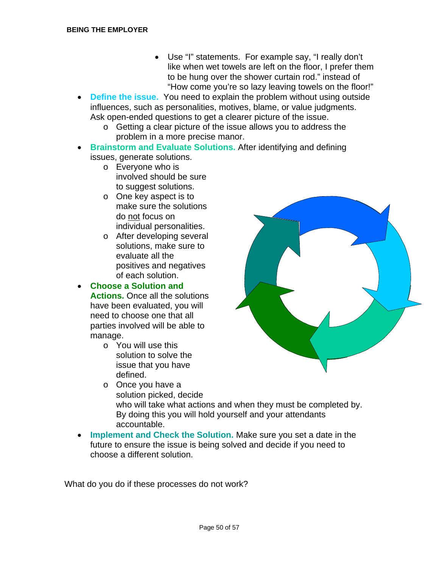- Use "I" statements. For example say, "I really don't like when wet towels are left on the floor, I prefer them to be hung over the shower curtain rod." instead of "How come you're so lazy leaving towels on the floor!"
- **Define the issue.** You need to explain the problem without using outside influences, such as personalities, motives, blame, or value judgments. Ask open-ended questions to get a clearer picture of the issue.
	- o Getting a clear picture of the issue allows you to address the problem in a more precise manor.
- **Brainstorm and Evaluate Solutions.** After identifying and defining issues, generate solutions.
	- o Everyone who is involved should be sure to suggest solutions.
	- o One key aspect is to make sure the solutions do not focus on individual personalities.
	- o After developing several solutions, make sure to evaluate all the positives and negatives of each solution.

• **Choose a Solution and** 

**Actions.** Once all the solutions have been evaluated, you will need to choose one that all parties involved will be able to manage.

- o You will use this solution to solve the issue that you have defined.
- o Once you have a solution picked, decide who will take what actions and when they must be completed by. By doing this you will hold yourself and your attendants accountable.
- **Implement and Check the Solution.** Make sure you set a date in the future to ensure the issue is being solved and decide if you need to choose a different solution.

What do you do if these processes do not work?

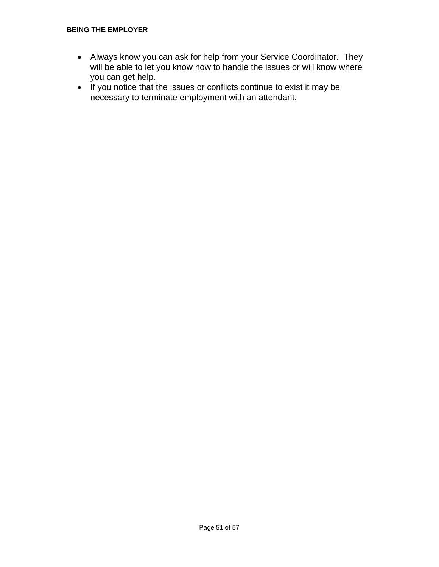#### **BEING THE EMPLOYER**

- Always know you can ask for help from your Service Coordinator. They will be able to let you know how to handle the issues or will know where you can get help.
- If you notice that the issues or conflicts continue to exist it may be necessary to terminate employment with an attendant.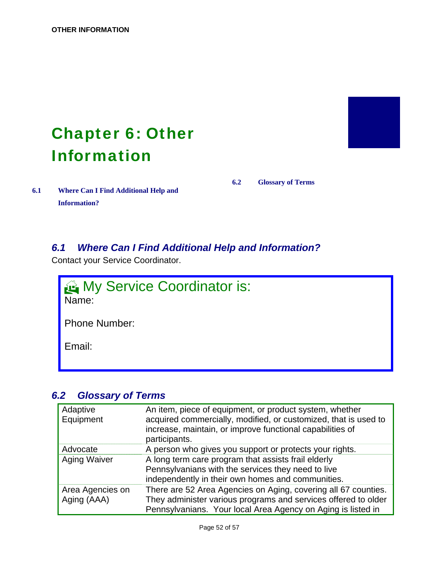## <span id="page-54-0"></span>**Chapter 6: Other** Information

**6.1 Where Can I Find Additional Help and Information?** 

**6.2 Glossary of Terms** 

#### *6.1 Where Can I Find Additional Help and Information?*

Contact your Service Coordinator.



### *6.2 Glossary of Terms*

| Adaptive<br>Equipment           | An item, piece of equipment, or product system, whether<br>acquired commercially, modified, or customized, that is used to<br>increase, maintain, or improve functional capabilities of<br>participants. |
|---------------------------------|----------------------------------------------------------------------------------------------------------------------------------------------------------------------------------------------------------|
| Advocate                        | A person who gives you support or protects your rights.                                                                                                                                                  |
| <b>Aging Waiver</b>             | A long term care program that assists frail elderly<br>Pennsylvanians with the services they need to live<br>independently in their own homes and communities.                                           |
| Area Agencies on<br>Aging (AAA) | There are 52 Area Agencies on Aging, covering all 67 counties.<br>They administer various programs and services offered to older<br>Pennsylvanians. Your local Area Agency on Aging is listed in         |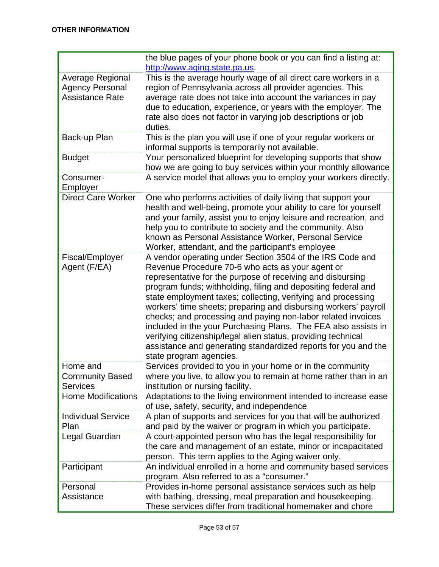|                                                                      | the blue pages of your phone book or you can find a listing at:<br>http://www.aging.state.pa.us.                                                                                                                                                                                                                                                                                                                                                                                                                                                                                                                                                                                |
|----------------------------------------------------------------------|---------------------------------------------------------------------------------------------------------------------------------------------------------------------------------------------------------------------------------------------------------------------------------------------------------------------------------------------------------------------------------------------------------------------------------------------------------------------------------------------------------------------------------------------------------------------------------------------------------------------------------------------------------------------------------|
| Average Regional<br><b>Agency Personal</b><br><b>Assistance Rate</b> | This is the average hourly wage of all direct care workers in a<br>region of Pennsylvania across all provider agencies. This<br>average rate does not take into account the variances in pay<br>due to education, experience, or years with the employer. The<br>rate also does not factor in varying job descriptions or job<br>duties.                                                                                                                                                                                                                                                                                                                                        |
| Back-up Plan                                                         | This is the plan you will use if one of your regular workers or<br>informal supports is temporarily not available.                                                                                                                                                                                                                                                                                                                                                                                                                                                                                                                                                              |
| <b>Budget</b>                                                        | Your personalized blueprint for developing supports that show<br>how we are going to buy services within your monthly allowance                                                                                                                                                                                                                                                                                                                                                                                                                                                                                                                                                 |
| Consumer-<br>Employer                                                | A service model that allows you to employ your workers directly.                                                                                                                                                                                                                                                                                                                                                                                                                                                                                                                                                                                                                |
| <b>Direct Care Worker</b>                                            | One who performs activities of daily living that support your<br>health and well-being, promote your ability to care for yourself<br>and your family, assist you to enjoy leisure and recreation, and<br>help you to contribute to society and the community. Also<br>known as Personal Assistance Worker, Personal Service<br>Worker, attendant, and the participant's employee                                                                                                                                                                                                                                                                                                |
| Fiscal/Employer<br>Agent (F/EA)                                      | A vendor operating under Section 3504 of the IRS Code and<br>Revenue Procedure 70-6 who acts as your agent or<br>representative for the purpose of receiving and disbursing<br>program funds; withholding, filing and depositing federal and<br>state employment taxes; collecting, verifying and processing<br>workers' time sheets; preparing and disbursing workers' payroll<br>checks; and processing and paying non-labor related invoices<br>included in the your Purchasing Plans. The FEA also assists in<br>verifying citizenship/legal alien status, providing technical<br>assistance and generating standardized reports for you and the<br>state program agencies. |
| Home and<br><b>Community Based</b><br><b>Services</b>                | Services provided to you in your home or in the community<br>where you live, to allow you to remain at home rather than in an<br>institution or nursing facility.                                                                                                                                                                                                                                                                                                                                                                                                                                                                                                               |
| <b>Home Modifications</b>                                            | Adaptations to the living environment intended to increase ease<br>of use, safety, security, and independence                                                                                                                                                                                                                                                                                                                                                                                                                                                                                                                                                                   |
| <b>Individual Service</b><br>Plan                                    | A plan of supports and services for you that will be authorized<br>and paid by the waiver or program in which you participate.                                                                                                                                                                                                                                                                                                                                                                                                                                                                                                                                                  |
| Legal Guardian                                                       | A court-appointed person who has the legal responsibility for<br>the care and management of an estate, minor or incapacitated<br>person. This term applies to the Aging waiver only.                                                                                                                                                                                                                                                                                                                                                                                                                                                                                            |
| Participant                                                          | An individual enrolled in a home and community based services<br>program. Also referred to as a "consumer."                                                                                                                                                                                                                                                                                                                                                                                                                                                                                                                                                                     |
| Personal<br>Assistance                                               | Provides in-home personal assistance services such as help<br>with bathing, dressing, meal preparation and housekeeping.<br>These services differ from traditional homemaker and chore                                                                                                                                                                                                                                                                                                                                                                                                                                                                                          |